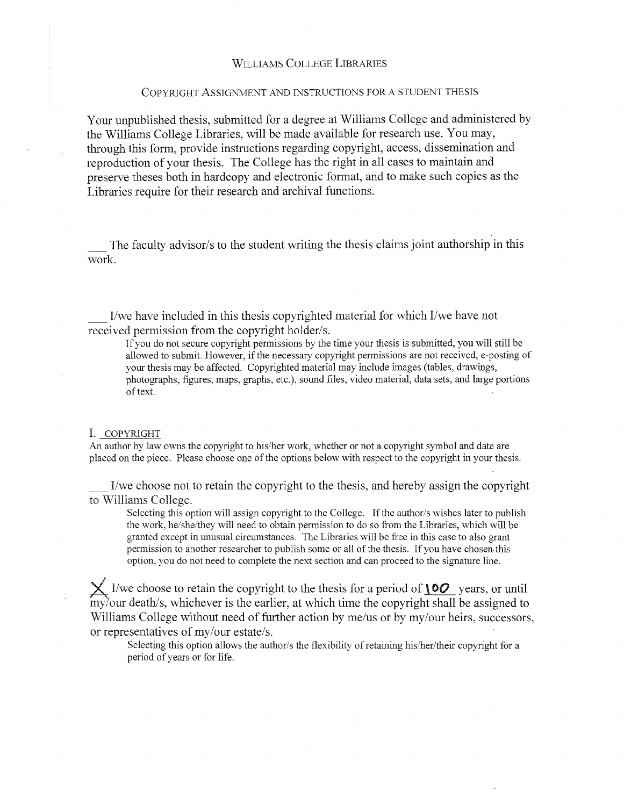#### WILLIAMS COLLEGE LIBRARIES

#### COPYRIGHT ASSIGNMENT AND INSTRUCTIONS FOR A STUDENT THESIS

Your unpublished thesis, submitted for a degree at Williams College and administered by the Williams College Libraries, will be made available for research use. You may, through this form, provide instructions regarding copyright, access, dissemination and reproduction of your thesis. The College has the right in all cases to maintain and preserve theses both in hardcopy and electronic format, and to make such copies as the Libraries require for their research and archival functions.

The faculty advisor/s to the student writing the thesis claims joint authorship in this work.

\_ I/we have included in this thesis copyrighted material for which I/we have not received permission from the copyright holder/s.

If you do not secure copyright permissions by the time your thesis is submitted, you will still be allowed to submit. However, if the necessary copyright permissions are not received, e-posting of your thesis may be affected. Copyrighted material may include images (tables, drawings, photographs, figures, maps, graphs, etc.), sound files, video material, data sets, and large portions of text.

#### I. COPYRIGHT

An author by law owns the copyright to his/her work, whether or not a copyright symbol and date are placed on the piece. Please choose one of the options below with respect to the copyright in your thesis.

\_ I/we choose not to retain the copyright to the thesis, and hereby assign the copyright to Williams College.

Selecting this option will assign copyright to the College. If the author/s wishes later to publish the work, he/she/they will need to obtain permission to do so from the Libraries, which will be granted except in unusual circumstances. The Libraries will be free in this case to also grant permission to another researcher to publish some or all of the thesis. If you have chosen this option, you do not need to complete the next section and can proceed to the signature line.

 $\times$  I/we choose to retain the copyright to the thesis for a period of  $\sqrt{00}$  years, or until my/our death/s, whichever is the earlier, at which time the copyright shall be assigned to Williams College without need of further action by me/us or by my/our heirs, successors, or representatives of my/our estate/s.

Selecting this option allows the author/s the flexibility of retaining his/her/their copyright for a period of years or for life.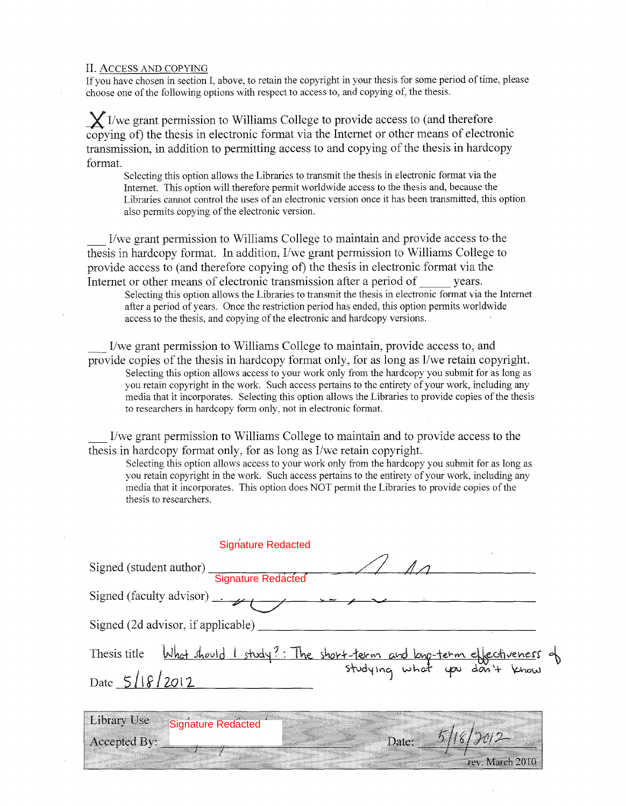#### II. ACCESS AND COPYING

If you have chosen in section I, above, to retain the copyright in your thesis for some period of time, please choose one of the following options with respect to access to, and copying of, the thesis.

 $\chi$  I/we grant permission to Williams College to provide access to (and therefore copying of) the thesis in electronic format via the Internet or other means of electronic transmission, in addition to permitting access to and copying of the thesis in hardcopy format.

Selecting this option allows the Libraries to transmit the thesis in electronic format via the Internet. This option will therefore permit worldwide access to the thesis and, because the Libraries cannot control the uses of an electronic version once it has been transmitted, this option also permits copying of the electronic version.

\_ I/we grant permission to Williams College to maintain and provide access to-the thesis in hardcopy format. In addition, I/we grant permission to Williams College to provide access to (and therefore copying of) the thesis in electronic format via the Internet or other means of electronic transmission after a period of years.

Selecting this option allows the Libraries to transmit the thesis in electronic format via the Internet after a period of years. Once the restriction period has ended, this option permits worldwide access to the thesis, and copying of the electronic and hardcopy versions.

\_ I/we grant permission to Williams College to maintain, provide access to, and provide copies of the thesis in hardcopy format only, for as long as I/we retain copyright. Selecting this option allows access to your work only from the hardcopy you submit for as long as you retain copyright in the work. Such access pertains to the entirety of your work, including any media that it incorporates. Selecting this option allows the Libraries to provide copies of the thesis to researchers in hardcopy form only, not in electronic format.

\_ I/we grant permission to Williams College to maintain and to provide access to the thesis in hardcopy format only, for as long as I/we retain copyright.

Selecting this option allows access to your work only from the hardcopy you submit for as long as you retain copyright in the work. Such access pertains to the entirety of your work, including any media that it incorporates. This option does NOT permit the Libraries to provide copies of the thesis to researchers.

| <b>Signature Redacted</b>                  |                                                                                  |
|--------------------------------------------|----------------------------------------------------------------------------------|
| Signed (student author) Signature Redacted |                                                                                  |
|                                            |                                                                                  |
| Signed (2d advisor, if applicable)         |                                                                                  |
| Date $5/18/2012$                           | Thesis title What should I study?: The short-term and long-term effectiveness of |
|                                            |                                                                                  |

**Library Use** Signature RedactedAccepted By:

Date: rev. March 2010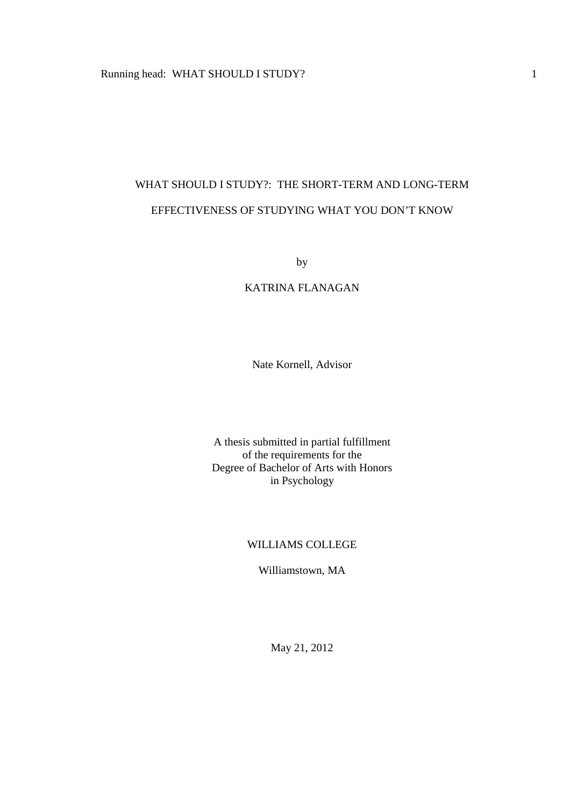# WHAT SHOULD I STUDY?: THE SHORT-TERM AND LONG-TERM EFFECTIVENESS OF STUDYING WHAT YOU DON'T KNOW

by

# KATRINA FLANAGAN

Nate Kornell, Advisor

A thesis submitted in partial fulfillment of the requirements for the Degree of Bachelor of Arts with Honors in Psychology

# WILLIAMS COLLEGE

Williamstown, MA

May 21, 2012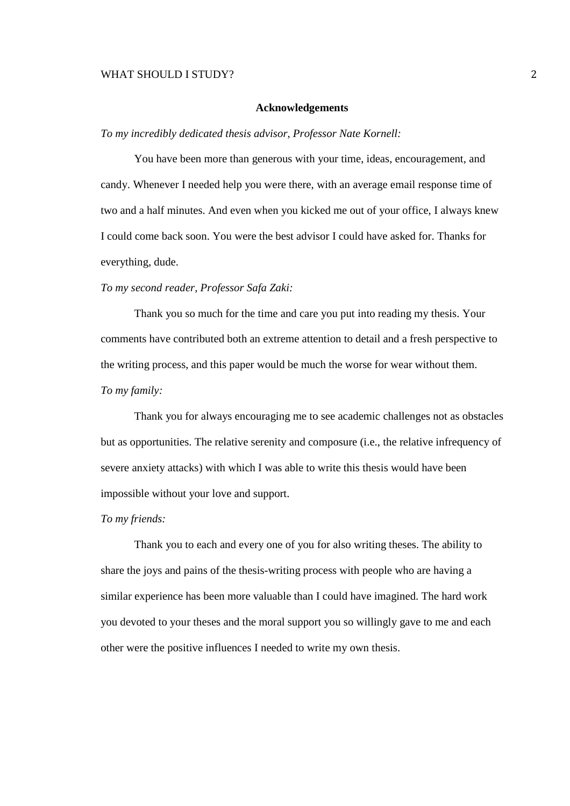#### **Acknowledgements**

*To my incredibly dedicated thesis advisor, Professor Nate Kornell:* 

You have been more than generous with your time, ideas, encouragement, and candy. Whenever I needed help you were there, with an average email response time of two and a half minutes. And even when you kicked me out of your office, I always knew I could come back soon. You were the best advisor I could have asked for. Thanks for everything, dude.

# *To my second reader, Professor Safa Zaki:*

 Thank you so much for the time and care you put into reading my thesis. Your comments have contributed both an extreme attention to detail and a fresh perspective to the writing process, and this paper would be much the worse for wear without them. *To my family:* 

 Thank you for always encouraging me to see academic challenges not as obstacles but as opportunities. The relative serenity and composure (i.e., the relative infrequency of severe anxiety attacks) with which I was able to write this thesis would have been impossible without your love and support.

#### *To my friends:*

 Thank you to each and every one of you for also writing theses. The ability to share the joys and pains of the thesis-writing process with people who are having a similar experience has been more valuable than I could have imagined. The hard work you devoted to your theses and the moral support you so willingly gave to me and each other were the positive influences I needed to write my own thesis.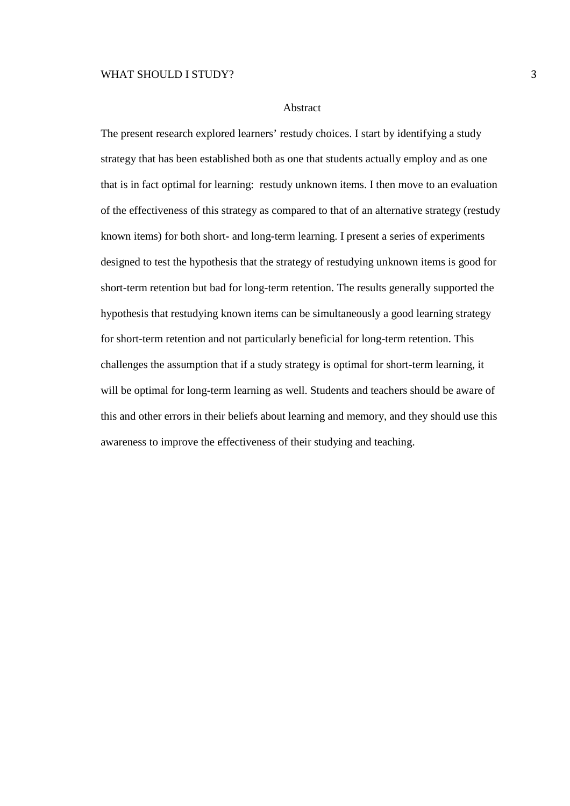#### Abstract

The present research explored learners' restudy choices. I start by identifying a study strategy that has been established both as one that students actually employ and as one that is in fact optimal for learning: restudy unknown items. I then move to an evaluation of the effectiveness of this strategy as compared to that of an alternative strategy (restudy known items) for both short- and long-term learning. I present a series of experiments designed to test the hypothesis that the strategy of restudying unknown items is good for short-term retention but bad for long-term retention. The results generally supported the hypothesis that restudying known items can be simultaneously a good learning strategy for short-term retention and not particularly beneficial for long-term retention. This challenges the assumption that if a study strategy is optimal for short-term learning, it will be optimal for long-term learning as well. Students and teachers should be aware of this and other errors in their beliefs about learning and memory, and they should use this awareness to improve the effectiveness of their studying and teaching.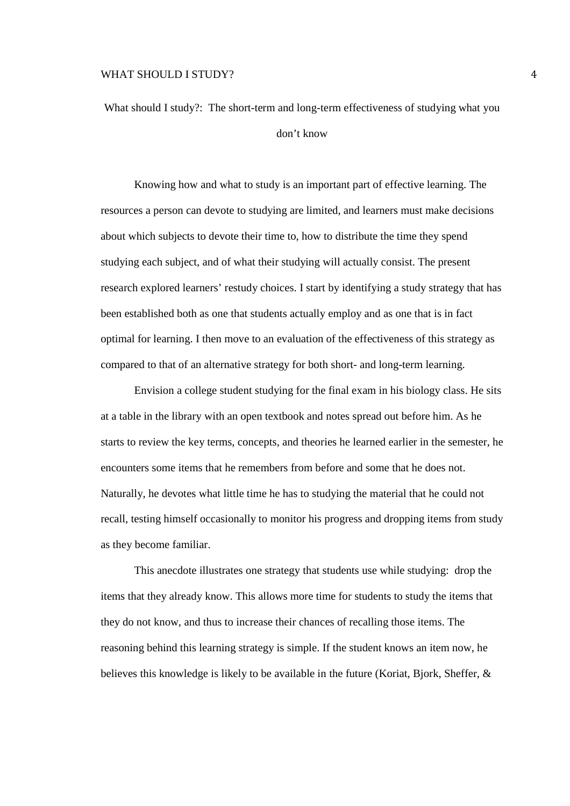What should I study?: The short-term and long-term effectiveness of studying what you don't know

Knowing how and what to study is an important part of effective learning. The resources a person can devote to studying are limited, and learners must make decisions about which subjects to devote their time to, how to distribute the time they spend studying each subject, and of what their studying will actually consist. The present research explored learners' restudy choices. I start by identifying a study strategy that has been established both as one that students actually employ and as one that is in fact optimal for learning. I then move to an evaluation of the effectiveness of this strategy as compared to that of an alternative strategy for both short- and long-term learning.

Envision a college student studying for the final exam in his biology class. He sits at a table in the library with an open textbook and notes spread out before him. As he starts to review the key terms, concepts, and theories he learned earlier in the semester, he encounters some items that he remembers from before and some that he does not. Naturally, he devotes what little time he has to studying the material that he could not recall, testing himself occasionally to monitor his progress and dropping items from study as they become familiar.

This anecdote illustrates one strategy that students use while studying: drop the items that they already know. This allows more time for students to study the items that they do not know, and thus to increase their chances of recalling those items. The reasoning behind this learning strategy is simple. If the student knows an item now, he believes this knowledge is likely to be available in the future (Koriat, Bjork, Sheffer, &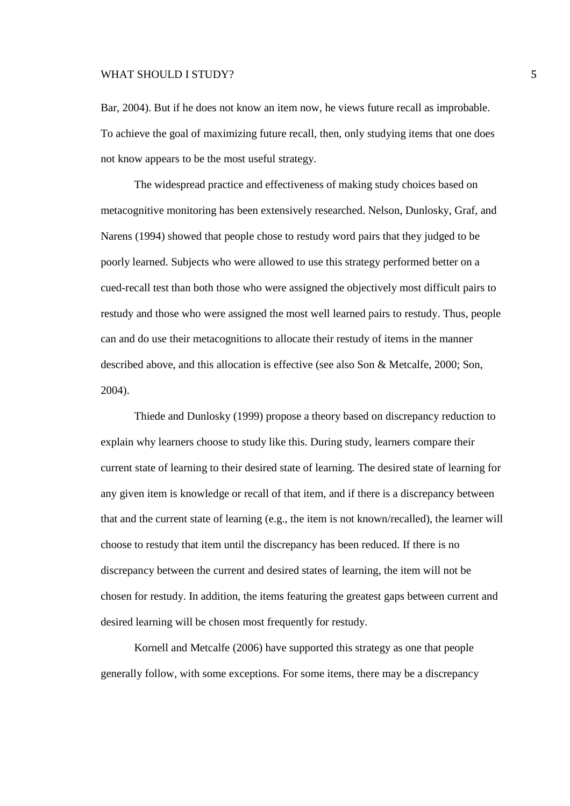Bar, 2004). But if he does not know an item now, he views future recall as improbable. To achieve the goal of maximizing future recall, then, only studying items that one does not know appears to be the most useful strategy.

The widespread practice and effectiveness of making study choices based on metacognitive monitoring has been extensively researched. Nelson, Dunlosky, Graf, and Narens (1994) showed that people chose to restudy word pairs that they judged to be poorly learned. Subjects who were allowed to use this strategy performed better on a cued-recall test than both those who were assigned the objectively most difficult pairs to restudy and those who were assigned the most well learned pairs to restudy. Thus, people can and do use their metacognitions to allocate their restudy of items in the manner described above, and this allocation is effective (see also Son & Metcalfe, 2000; Son, 2004).

Thiede and Dunlosky (1999) propose a theory based on discrepancy reduction to explain why learners choose to study like this. During study, learners compare their current state of learning to their desired state of learning. The desired state of learning for any given item is knowledge or recall of that item, and if there is a discrepancy between that and the current state of learning (e.g., the item is not known/recalled), the learner will choose to restudy that item until the discrepancy has been reduced. If there is no discrepancy between the current and desired states of learning, the item will not be chosen for restudy. In addition, the items featuring the greatest gaps between current and desired learning will be chosen most frequently for restudy.

Kornell and Metcalfe (2006) have supported this strategy as one that people generally follow, with some exceptions. For some items, there may be a discrepancy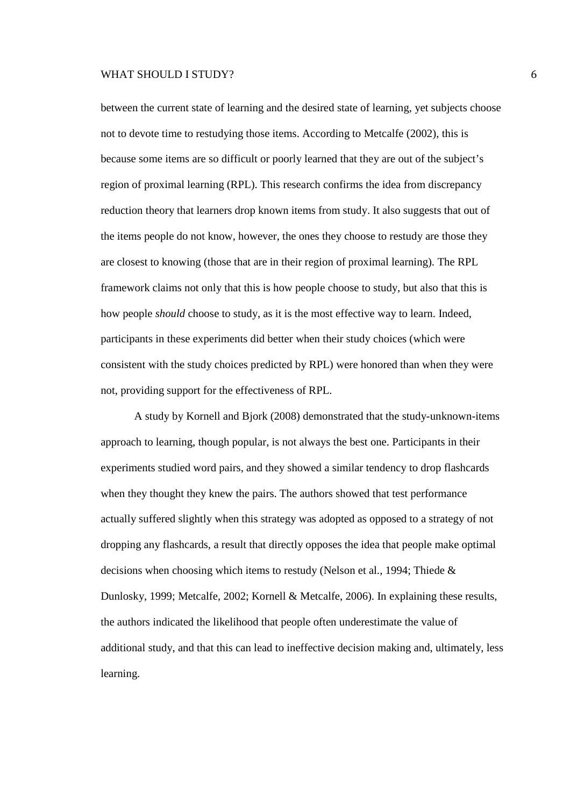between the current state of learning and the desired state of learning, yet subjects choose not to devote time to restudying those items. According to Metcalfe (2002), this is because some items are so difficult or poorly learned that they are out of the subject's region of proximal learning (RPL). This research confirms the idea from discrepancy reduction theory that learners drop known items from study. It also suggests that out of the items people do not know, however, the ones they choose to restudy are those they are closest to knowing (those that are in their region of proximal learning). The RPL framework claims not only that this is how people choose to study, but also that this is how people *should* choose to study, as it is the most effective way to learn. Indeed, participants in these experiments did better when their study choices (which were consistent with the study choices predicted by RPL) were honored than when they were not, providing support for the effectiveness of RPL.

A study by Kornell and Bjork (2008) demonstrated that the study-unknown-items approach to learning, though popular, is not always the best one. Participants in their experiments studied word pairs, and they showed a similar tendency to drop flashcards when they thought they knew the pairs. The authors showed that test performance actually suffered slightly when this strategy was adopted as opposed to a strategy of not dropping any flashcards, a result that directly opposes the idea that people make optimal decisions when choosing which items to restudy (Nelson et al., 1994; Thiede & Dunlosky, 1999; Metcalfe, 2002; Kornell & Metcalfe, 2006). In explaining these results, the authors indicated the likelihood that people often underestimate the value of additional study, and that this can lead to ineffective decision making and, ultimately, less learning.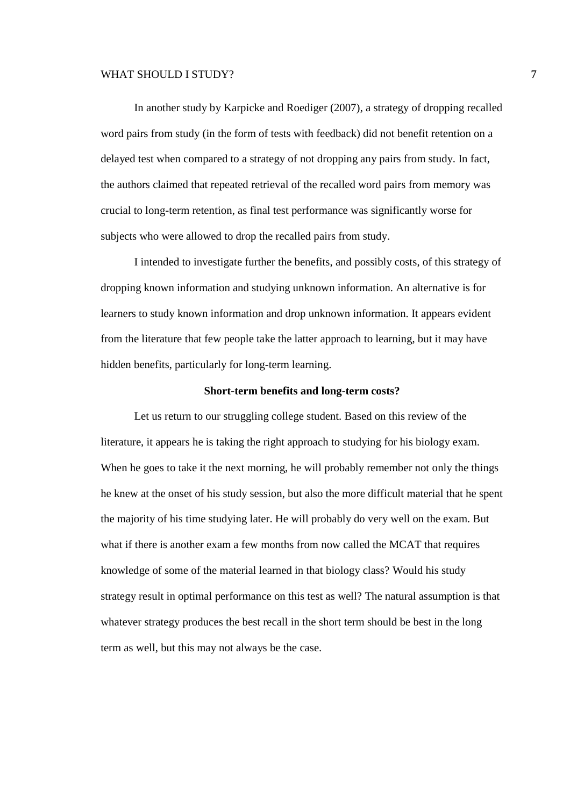In another study by Karpicke and Roediger (2007), a strategy of dropping recalled word pairs from study (in the form of tests with feedback) did not benefit retention on a delayed test when compared to a strategy of not dropping any pairs from study. In fact, the authors claimed that repeated retrieval of the recalled word pairs from memory was crucial to long-term retention, as final test performance was significantly worse for subjects who were allowed to drop the recalled pairs from study.

I intended to investigate further the benefits, and possibly costs, of this strategy of dropping known information and studying unknown information. An alternative is for learners to study known information and drop unknown information. It appears evident from the literature that few people take the latter approach to learning, but it may have hidden benefits, particularly for long-term learning.

#### **Short-term benefits and long-term costs?**

Let us return to our struggling college student. Based on this review of the literature, it appears he is taking the right approach to studying for his biology exam. When he goes to take it the next morning, he will probably remember not only the things he knew at the onset of his study session, but also the more difficult material that he spent the majority of his time studying later. He will probably do very well on the exam. But what if there is another exam a few months from now called the MCAT that requires knowledge of some of the material learned in that biology class? Would his study strategy result in optimal performance on this test as well? The natural assumption is that whatever strategy produces the best recall in the short term should be best in the long term as well, but this may not always be the case.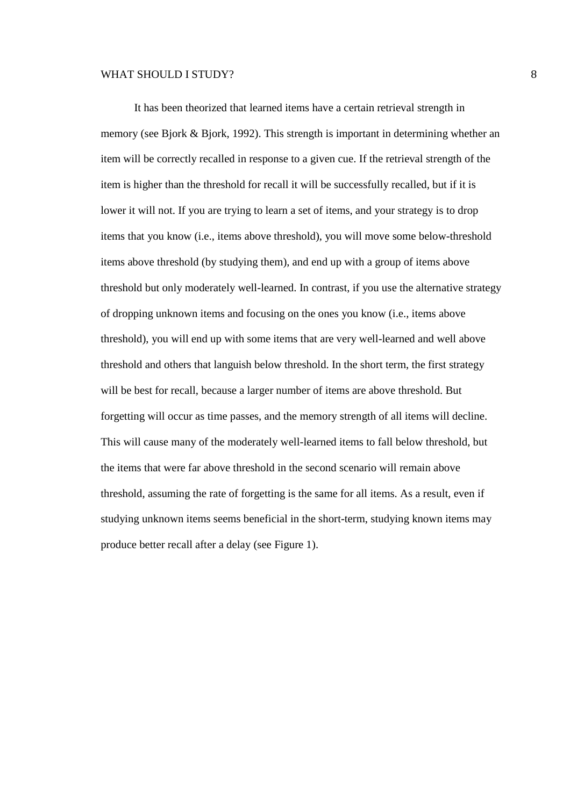It has been theorized that learned items have a certain retrieval strength in memory (see Bjork & Bjork, 1992). This strength is important in determining whether an item will be correctly recalled in response to a given cue. If the retrieval strength of the item is higher than the threshold for recall it will be successfully recalled, but if it is lower it will not. If you are trying to learn a set of items, and your strategy is to drop items that you know (i.e., items above threshold), you will move some below-threshold items above threshold (by studying them), and end up with a group of items above threshold but only moderately well-learned. In contrast, if you use the alternative strategy of dropping unknown items and focusing on the ones you know (i.e., items above threshold), you will end up with some items that are very well-learned and well above threshold and others that languish below threshold. In the short term, the first strategy will be best for recall, because a larger number of items are above threshold. But forgetting will occur as time passes, and the memory strength of all items will decline. This will cause many of the moderately well-learned items to fall below threshold, but the items that were far above threshold in the second scenario will remain above threshold, assuming the rate of forgetting is the same for all items. As a result, even if studying unknown items seems beneficial in the short-term, studying known items may produce better recall after a delay (see Figure 1).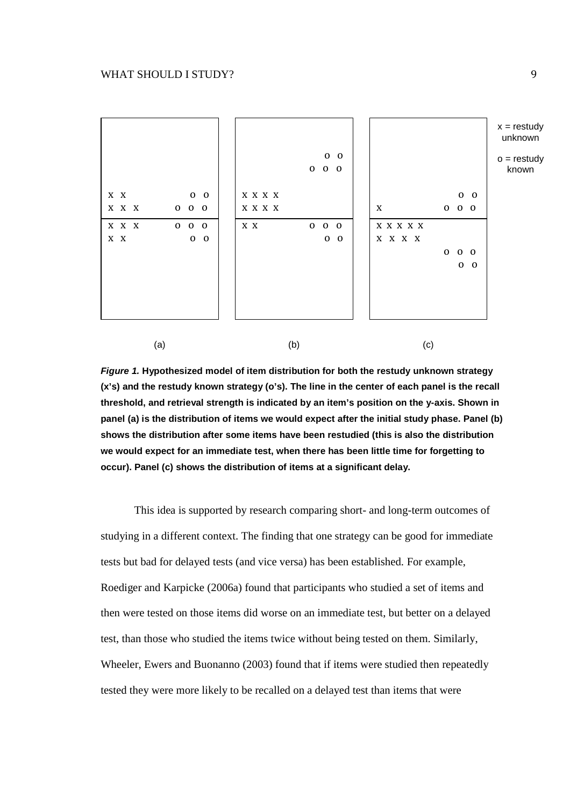

**Figure 1. Hypothesized model of item distribution for both the restudy unknown strategy (x's) and the restudy known strategy (o's). The line in the center of each panel is the recall threshold, and retrieval strength is indicated by an item's position on the y-axis. Shown in panel (a) is the distribution of items we would expect after the initial study phase. Panel (b) shows the distribution after some items have been restudied (this is also the distribution we would expect for an immediate test, when there has been little time for forgetting to occur). Panel (c) shows the distribution of items at a significant delay.** 

This idea is supported by research comparing short- and long-term outcomes of studying in a different context. The finding that one strategy can be good for immediate tests but bad for delayed tests (and vice versa) has been established. For example, Roediger and Karpicke (2006a) found that participants who studied a set of items and then were tested on those items did worse on an immediate test, but better on a delayed test, than those who studied the items twice without being tested on them. Similarly, Wheeler, Ewers and Buonanno (2003) found that if items were studied then repeatedly tested they were more likely to be recalled on a delayed test than items that were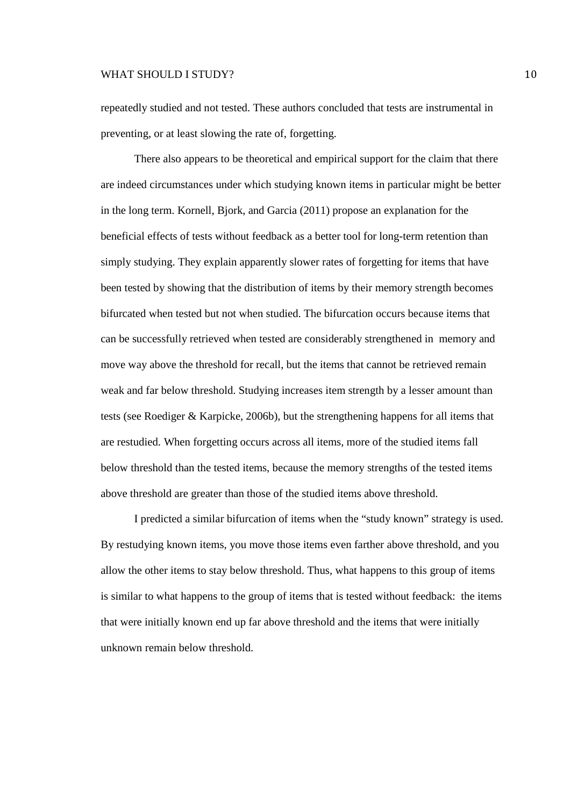repeatedly studied and not tested. These authors concluded that tests are instrumental in preventing, or at least slowing the rate of, forgetting.

There also appears to be theoretical and empirical support for the claim that there are indeed circumstances under which studying known items in particular might be better in the long term. Kornell, Bjork, and Garcia (2011) propose an explanation for the beneficial effects of tests without feedback as a better tool for long-term retention than simply studying. They explain apparently slower rates of forgetting for items that have been tested by showing that the distribution of items by their memory strength becomes bifurcated when tested but not when studied. The bifurcation occurs because items that can be successfully retrieved when tested are considerably strengthened in memory and move way above the threshold for recall, but the items that cannot be retrieved remain weak and far below threshold. Studying increases item strength by a lesser amount than tests (see Roediger & Karpicke, 2006b), but the strengthening happens for all items that are restudied. When forgetting occurs across all items, more of the studied items fall below threshold than the tested items, because the memory strengths of the tested items above threshold are greater than those of the studied items above threshold.

I predicted a similar bifurcation of items when the "study known" strategy is used. By restudying known items, you move those items even farther above threshold, and you allow the other items to stay below threshold. Thus, what happens to this group of items is similar to what happens to the group of items that is tested without feedback: the items that were initially known end up far above threshold and the items that were initially unknown remain below threshold.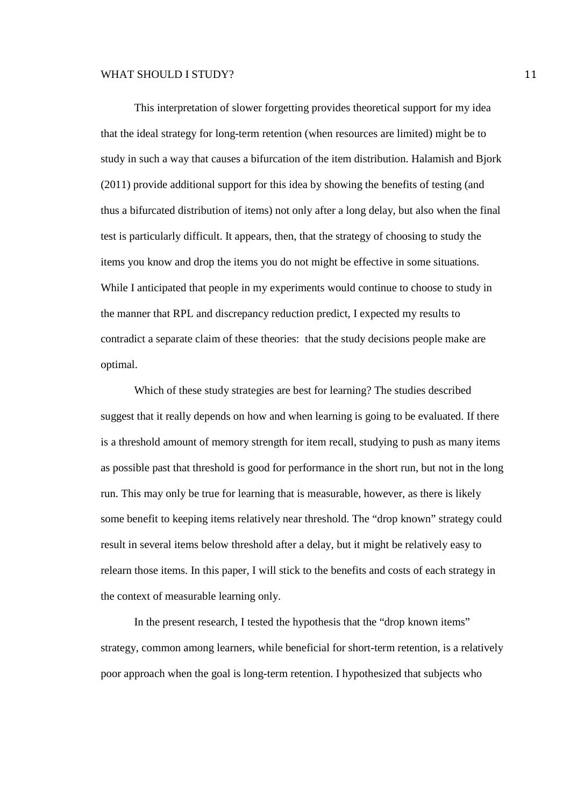This interpretation of slower forgetting provides theoretical support for my idea that the ideal strategy for long-term retention (when resources are limited) might be to study in such a way that causes a bifurcation of the item distribution. Halamish and Bjork (2011) provide additional support for this idea by showing the benefits of testing (and thus a bifurcated distribution of items) not only after a long delay, but also when the final test is particularly difficult. It appears, then, that the strategy of choosing to study the items you know and drop the items you do not might be effective in some situations. While I anticipated that people in my experiments would continue to choose to study in the manner that RPL and discrepancy reduction predict, I expected my results to contradict a separate claim of these theories: that the study decisions people make are optimal.

Which of these study strategies are best for learning? The studies described suggest that it really depends on how and when learning is going to be evaluated. If there is a threshold amount of memory strength for item recall, studying to push as many items as possible past that threshold is good for performance in the short run, but not in the long run. This may only be true for learning that is measurable, however, as there is likely some benefit to keeping items relatively near threshold. The "drop known" strategy could result in several items below threshold after a delay, but it might be relatively easy to relearn those items. In this paper, I will stick to the benefits and costs of each strategy in the context of measurable learning only.

In the present research, I tested the hypothesis that the "drop known items" strategy, common among learners, while beneficial for short-term retention, is a relatively poor approach when the goal is long-term retention. I hypothesized that subjects who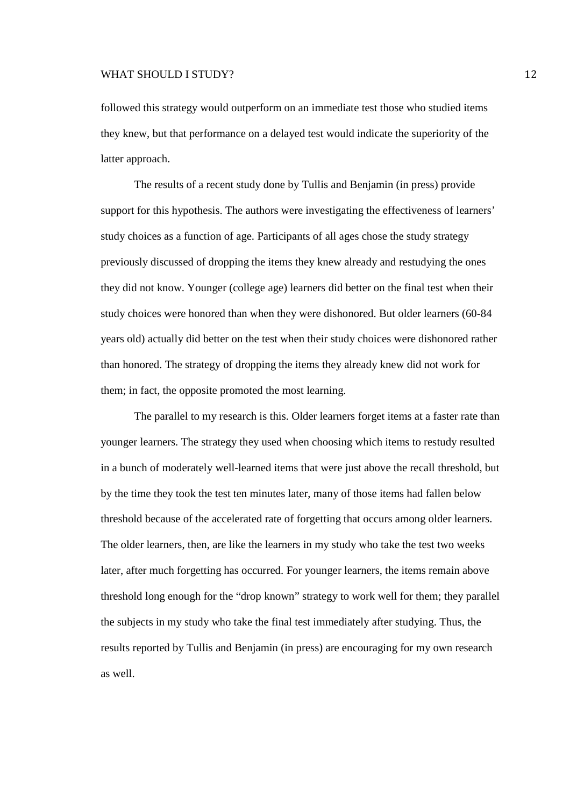followed this strategy would outperform on an immediate test those who studied items they knew, but that performance on a delayed test would indicate the superiority of the latter approach.

The results of a recent study done by Tullis and Benjamin (in press) provide support for this hypothesis. The authors were investigating the effectiveness of learners' study choices as a function of age. Participants of all ages chose the study strategy previously discussed of dropping the items they knew already and restudying the ones they did not know. Younger (college age) learners did better on the final test when their study choices were honored than when they were dishonored. But older learners (60-84 years old) actually did better on the test when their study choices were dishonored rather than honored. The strategy of dropping the items they already knew did not work for them; in fact, the opposite promoted the most learning.

The parallel to my research is this. Older learners forget items at a faster rate than younger learners. The strategy they used when choosing which items to restudy resulted in a bunch of moderately well-learned items that were just above the recall threshold, but by the time they took the test ten minutes later, many of those items had fallen below threshold because of the accelerated rate of forgetting that occurs among older learners. The older learners, then, are like the learners in my study who take the test two weeks later, after much forgetting has occurred. For younger learners, the items remain above threshold long enough for the "drop known" strategy to work well for them; they parallel the subjects in my study who take the final test immediately after studying. Thus, the results reported by Tullis and Benjamin (in press) are encouraging for my own research as well.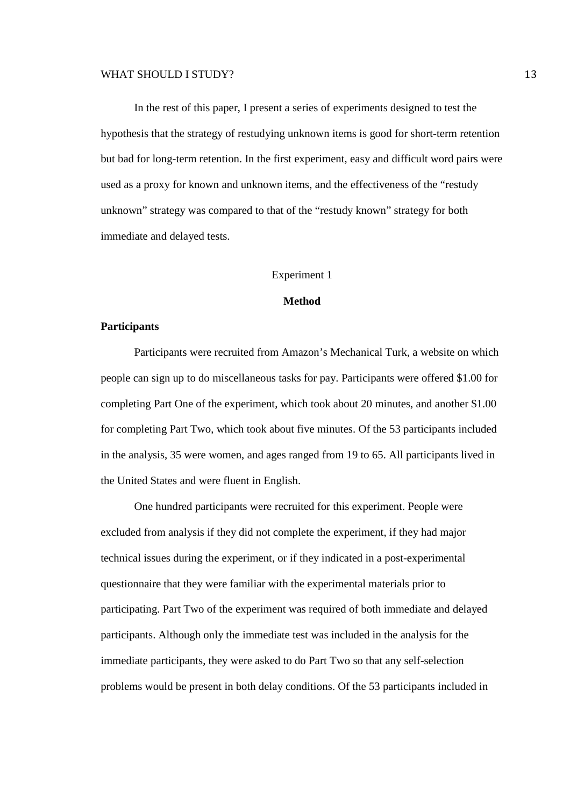In the rest of this paper, I present a series of experiments designed to test the hypothesis that the strategy of restudying unknown items is good for short-term retention but bad for long-term retention. In the first experiment, easy and difficult word pairs were used as a proxy for known and unknown items, and the effectiveness of the "restudy unknown" strategy was compared to that of the "restudy known" strategy for both immediate and delayed tests.

#### Experiment 1

# **Method**

#### **Participants**

Participants were recruited from Amazon's Mechanical Turk, a website on which people can sign up to do miscellaneous tasks for pay. Participants were offered \$1.00 for completing Part One of the experiment, which took about 20 minutes, and another \$1.00 for completing Part Two, which took about five minutes. Of the 53 participants included in the analysis, 35 were women, and ages ranged from 19 to 65. All participants lived in the United States and were fluent in English.

One hundred participants were recruited for this experiment. People were excluded from analysis if they did not complete the experiment, if they had major technical issues during the experiment, or if they indicated in a post-experimental questionnaire that they were familiar with the experimental materials prior to participating. Part Two of the experiment was required of both immediate and delayed participants. Although only the immediate test was included in the analysis for the immediate participants, they were asked to do Part Two so that any self-selection problems would be present in both delay conditions. Of the 53 participants included in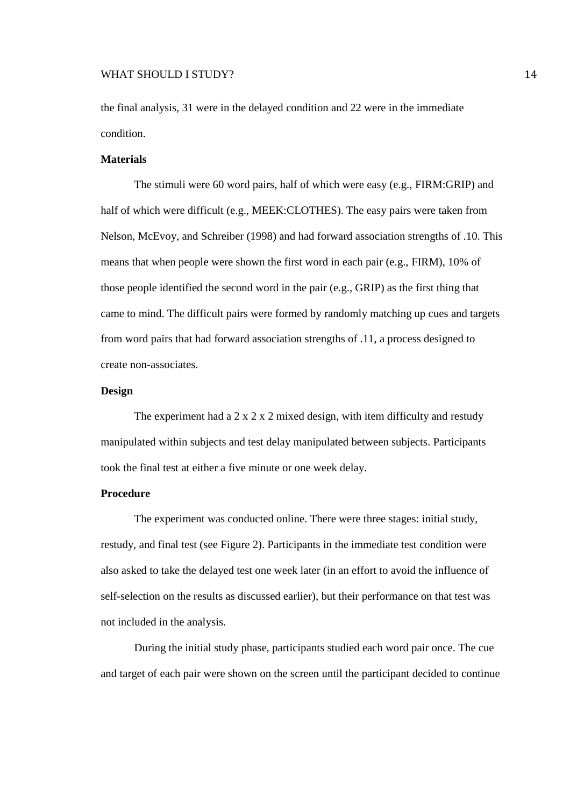#### WHAT SHOULD I STUDY? 2002 22 22 23 24

the final analysis, 31 were in the delayed condition and 22 were in the immediate condition.

#### **Materials**

 The stimuli were 60 word pairs, half of which were easy (e.g., FIRM:GRIP) and half of which were difficult (e.g., MEEK:CLOTHES). The easy pairs were taken from Nelson, McEvoy, and Schreiber (1998) and had forward association strengths of .10. This means that when people were shown the first word in each pair (e.g., FIRM), 10% of those people identified the second word in the pair (e.g., GRIP) as the first thing that came to mind. The difficult pairs were formed by randomly matching up cues and targets from word pairs that had forward association strengths of .11, a process designed to create non-associates.

# **Design**

The experiment had a  $2 \times 2 \times 2$  mixed design, with item difficulty and restudy manipulated within subjects and test delay manipulated between subjects. Participants took the final test at either a five minute or one week delay.

#### **Procedure**

 The experiment was conducted online. There were three stages: initial study, restudy, and final test (see Figure 2). Participants in the immediate test condition were also asked to take the delayed test one week later (in an effort to avoid the influence of self-selection on the results as discussed earlier), but their performance on that test was not included in the analysis.

 During the initial study phase, participants studied each word pair once. The cue and target of each pair were shown on the screen until the participant decided to continue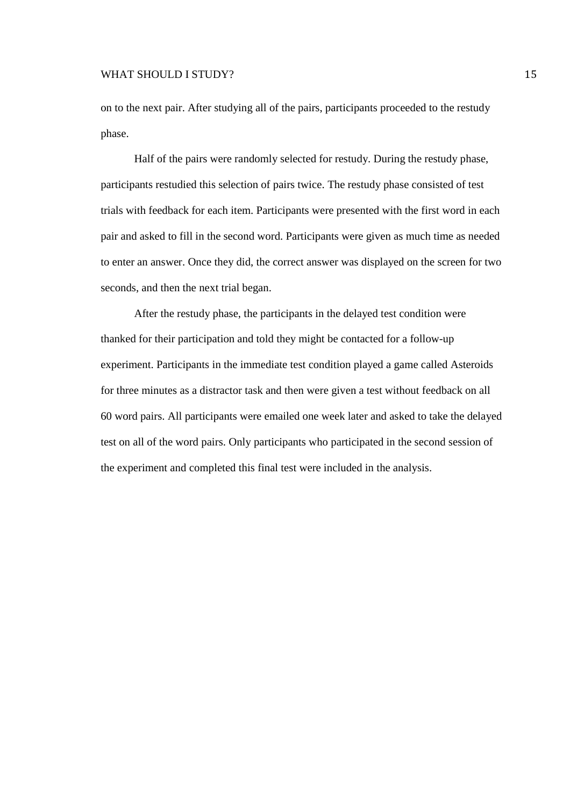on to the next pair. After studying all of the pairs, participants proceeded to the restudy phase.

 Half of the pairs were randomly selected for restudy. During the restudy phase, participants restudied this selection of pairs twice. The restudy phase consisted of test trials with feedback for each item. Participants were presented with the first word in each pair and asked to fill in the second word. Participants were given as much time as needed to enter an answer. Once they did, the correct answer was displayed on the screen for two seconds, and then the next trial began.

 After the restudy phase, the participants in the delayed test condition were thanked for their participation and told they might be contacted for a follow-up experiment. Participants in the immediate test condition played a game called Asteroids for three minutes as a distractor task and then were given a test without feedback on all 60 word pairs. All participants were emailed one week later and asked to take the delayed test on all of the word pairs. Only participants who participated in the second session of the experiment and completed this final test were included in the analysis.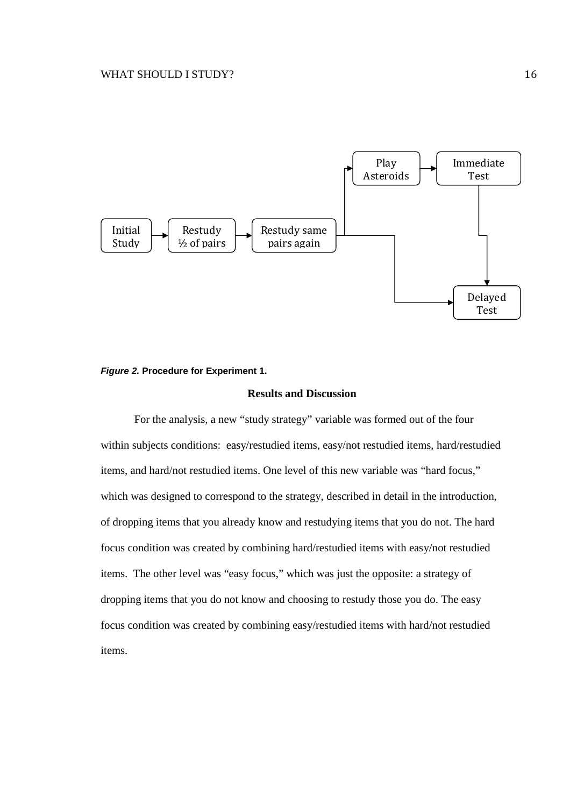

#### **Figure 2. Procedure for Experiment 1.**

# **Results and Discussion**

 For the analysis, a new "study strategy" variable was formed out of the four within subjects conditions: easy/restudied items, easy/not restudied items, hard/restudied items, and hard/not restudied items. One level of this new variable was "hard focus," which was designed to correspond to the strategy, described in detail in the introduction, of dropping items that you already know and restudying items that you do not. The hard focus condition was created by combining hard/restudied items with easy/not restudied items. The other level was "easy focus," which was just the opposite: a strategy of dropping items that you do not know and choosing to restudy those you do. The easy focus condition was created by combining easy/restudied items with hard/not restudied items.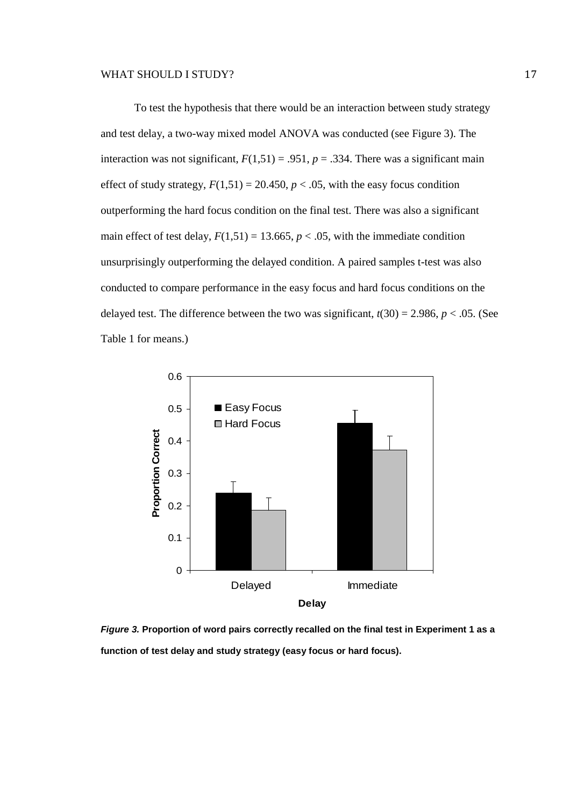To test the hypothesis that there would be an interaction between study strategy and test delay, a two-way mixed model ANOVA was conducted (see Figure 3). The interaction was not significant,  $F(1,51) = .951$ ,  $p = .334$ . There was a significant main effect of study strategy,  $F(1,51) = 20.450$ ,  $p < .05$ , with the easy focus condition outperforming the hard focus condition on the final test. There was also a significant main effect of test delay,  $F(1,51) = 13.665$ ,  $p < .05$ , with the immediate condition unsurprisingly outperforming the delayed condition. A paired samples t-test was also conducted to compare performance in the easy focus and hard focus conditions on the delayed test. The difference between the two was significant,  $t(30) = 2.986$ ,  $p < .05$ . (See Table 1 for means.)



**Figure 3. Proportion of word pairs correctly recalled on the final test in Experiment 1 as a function of test delay and study strategy (easy focus or hard focus).**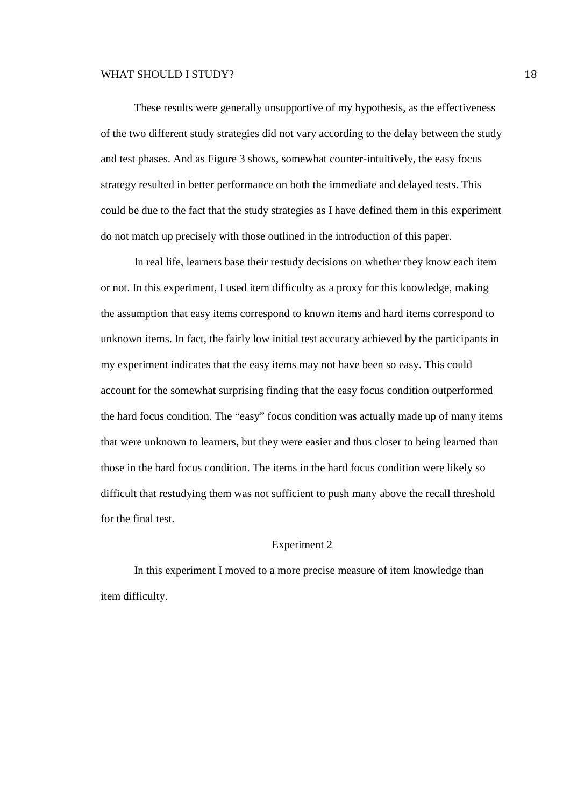These results were generally unsupportive of my hypothesis, as the effectiveness of the two different study strategies did not vary according to the delay between the study and test phases. And as Figure 3 shows, somewhat counter-intuitively, the easy focus strategy resulted in better performance on both the immediate and delayed tests. This could be due to the fact that the study strategies as I have defined them in this experiment do not match up precisely with those outlined in the introduction of this paper.

In real life, learners base their restudy decisions on whether they know each item or not. In this experiment, I used item difficulty as a proxy for this knowledge, making the assumption that easy items correspond to known items and hard items correspond to unknown items. In fact, the fairly low initial test accuracy achieved by the participants in my experiment indicates that the easy items may not have been so easy. This could account for the somewhat surprising finding that the easy focus condition outperformed the hard focus condition. The "easy" focus condition was actually made up of many items that were unknown to learners, but they were easier and thus closer to being learned than those in the hard focus condition. The items in the hard focus condition were likely so difficult that restudying them was not sufficient to push many above the recall threshold for the final test.

#### Experiment 2

In this experiment I moved to a more precise measure of item knowledge than item difficulty.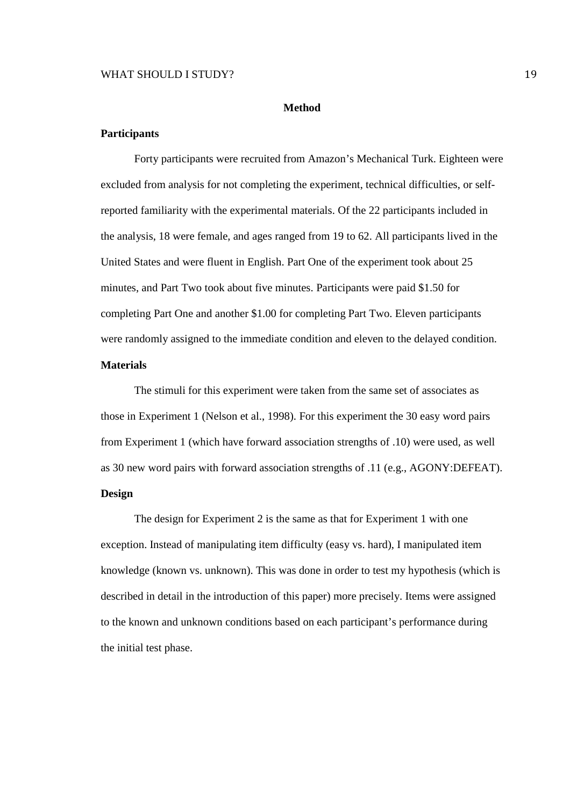#### **Method**

# **Participants**

 Forty participants were recruited from Amazon's Mechanical Turk. Eighteen were excluded from analysis for not completing the experiment, technical difficulties, or selfreported familiarity with the experimental materials. Of the 22 participants included in the analysis, 18 were female, and ages ranged from 19 to 62. All participants lived in the United States and were fluent in English. Part One of the experiment took about 25 minutes, and Part Two took about five minutes. Participants were paid \$1.50 for completing Part One and another \$1.00 for completing Part Two. Eleven participants were randomly assigned to the immediate condition and eleven to the delayed condition.

# **Materials**

 The stimuli for this experiment were taken from the same set of associates as those in Experiment 1 (Nelson et al., 1998). For this experiment the 30 easy word pairs from Experiment 1 (which have forward association strengths of .10) were used, as well as 30 new word pairs with forward association strengths of .11 (e.g., AGONY:DEFEAT).

# **Design**

 The design for Experiment 2 is the same as that for Experiment 1 with one exception. Instead of manipulating item difficulty (easy vs. hard), I manipulated item knowledge (known vs. unknown). This was done in order to test my hypothesis (which is described in detail in the introduction of this paper) more precisely. Items were assigned to the known and unknown conditions based on each participant's performance during the initial test phase.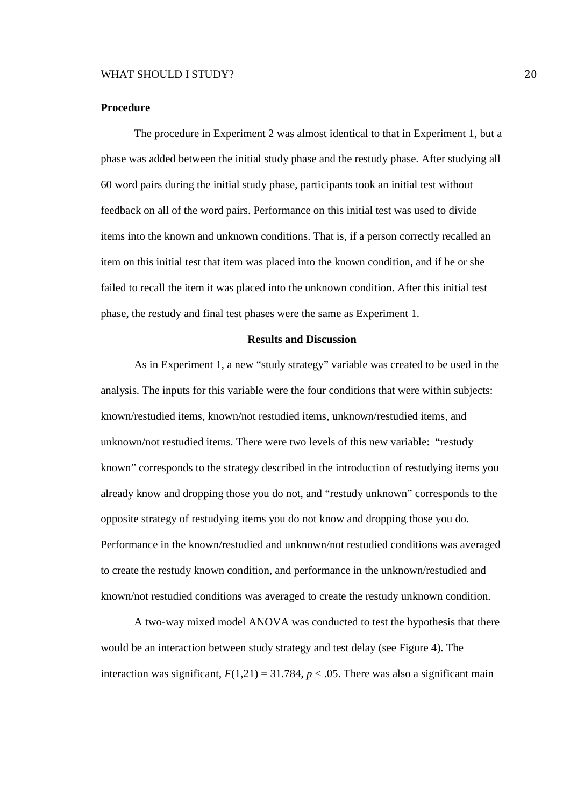#### **Procedure**

 The procedure in Experiment 2 was almost identical to that in Experiment 1, but a phase was added between the initial study phase and the restudy phase. After studying all 60 word pairs during the initial study phase, participants took an initial test without feedback on all of the word pairs. Performance on this initial test was used to divide items into the known and unknown conditions. That is, if a person correctly recalled an item on this initial test that item was placed into the known condition, and if he or she failed to recall the item it was placed into the unknown condition. After this initial test phase, the restudy and final test phases were the same as Experiment 1.

#### **Results and Discussion**

 As in Experiment 1, a new "study strategy" variable was created to be used in the analysis. The inputs for this variable were the four conditions that were within subjects: known/restudied items, known/not restudied items, unknown/restudied items, and unknown/not restudied items. There were two levels of this new variable: "restudy known" corresponds to the strategy described in the introduction of restudying items you already know and dropping those you do not, and "restudy unknown" corresponds to the opposite strategy of restudying items you do not know and dropping those you do. Performance in the known/restudied and unknown/not restudied conditions was averaged to create the restudy known condition, and performance in the unknown/restudied and known/not restudied conditions was averaged to create the restudy unknown condition.

A two-way mixed model ANOVA was conducted to test the hypothesis that there would be an interaction between study strategy and test delay (see Figure 4). The interaction was significant,  $F(1,21) = 31.784$ ,  $p < .05$ . There was also a significant main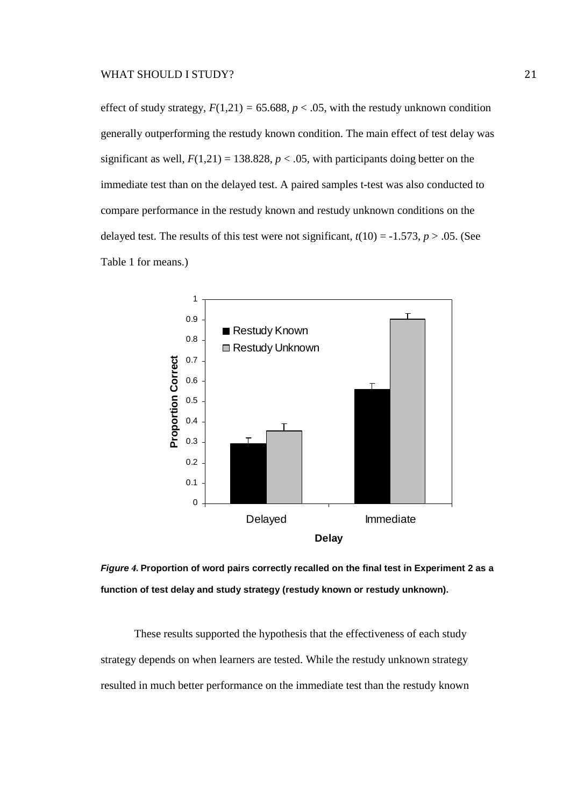effect of study strategy,  $F(1,21) = 65.688$ ,  $p < .05$ , with the restudy unknown condition generally outperforming the restudy known condition. The main effect of test delay was significant as well,  $F(1,21) = 138.828$ ,  $p < .05$ , with participants doing better on the immediate test than on the delayed test. A paired samples t-test was also conducted to compare performance in the restudy known and restudy unknown conditions on the delayed test. The results of this test were not significant,  $t(10) = -1.573$ ,  $p > .05$ . (See Table 1 for means.)



**Figure** *4.* **Proportion of word pairs correctly recalled on the final test in Experiment 2 as a function of test delay and study strategy (restudy known or restudy unknown).** 

 These results supported the hypothesis that the effectiveness of each study strategy depends on when learners are tested. While the restudy unknown strategy resulted in much better performance on the immediate test than the restudy known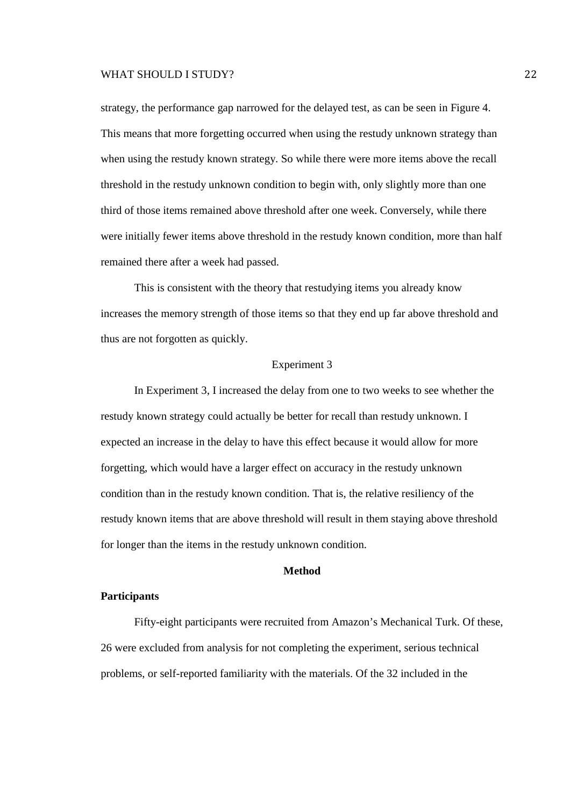strategy, the performance gap narrowed for the delayed test, as can be seen in Figure 4. This means that more forgetting occurred when using the restudy unknown strategy than when using the restudy known strategy. So while there were more items above the recall threshold in the restudy unknown condition to begin with, only slightly more than one third of those items remained above threshold after one week. Conversely, while there were initially fewer items above threshold in the restudy known condition, more than half remained there after a week had passed.

This is consistent with the theory that restudying items you already know increases the memory strength of those items so that they end up far above threshold and thus are not forgotten as quickly.

#### Experiment 3

In Experiment 3, I increased the delay from one to two weeks to see whether the restudy known strategy could actually be better for recall than restudy unknown. I expected an increase in the delay to have this effect because it would allow for more forgetting, which would have a larger effect on accuracy in the restudy unknown condition than in the restudy known condition. That is, the relative resiliency of the restudy known items that are above threshold will result in them staying above threshold for longer than the items in the restudy unknown condition.

# **Method**

#### **Participants**

 Fifty-eight participants were recruited from Amazon's Mechanical Turk. Of these, 26 were excluded from analysis for not completing the experiment, serious technical problems, or self-reported familiarity with the materials. Of the 32 included in the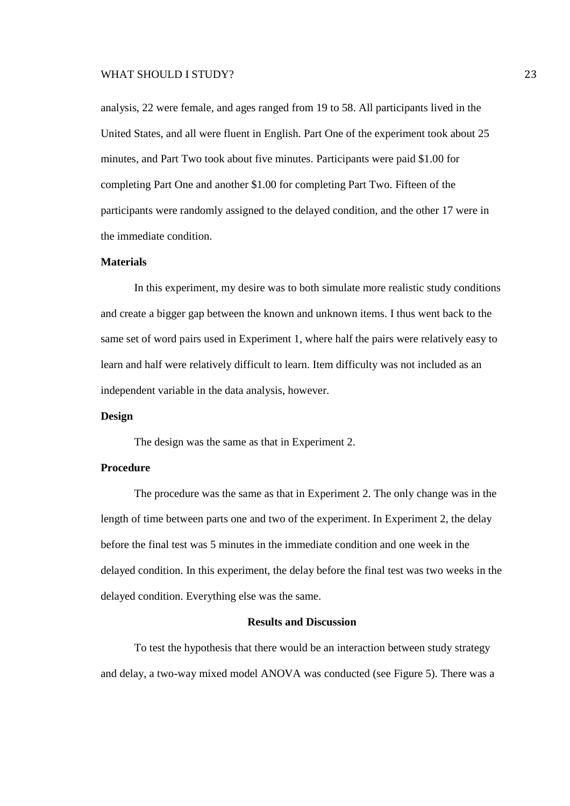analysis, 22 were female, and ages ranged from 19 to 58. All participants lived in the United States, and all were fluent in English. Part One of the experiment took about 25 minutes, and Part Two took about five minutes. Participants were paid \$1.00 for completing Part One and another \$1.00 for completing Part Two. Fifteen of the participants were randomly assigned to the delayed condition, and the other 17 were in the immediate condition.

# **Materials**

 In this experiment, my desire was to both simulate more realistic study conditions and create a bigger gap between the known and unknown items. I thus went back to the same set of word pairs used in Experiment 1, where half the pairs were relatively easy to learn and half were relatively difficult to learn. Item difficulty was not included as an independent variable in the data analysis, however.

#### **Design**

The design was the same as that in Experiment 2.

# **Procedure**

 The procedure was the same as that in Experiment 2. The only change was in the length of time between parts one and two of the experiment. In Experiment 2, the delay before the final test was 5 minutes in the immediate condition and one week in the delayed condition. In this experiment, the delay before the final test was two weeks in the delayed condition. Everything else was the same.

#### **Results and Discussion**

 To test the hypothesis that there would be an interaction between study strategy and delay, a two-way mixed model ANOVA was conducted (see Figure 5). There was a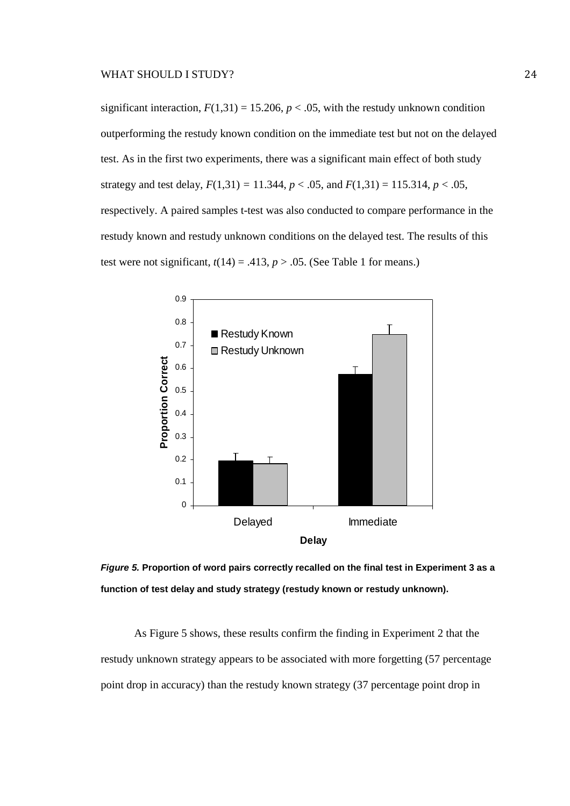significant interaction,  $F(1,31) = 15.206$ ,  $p < .05$ , with the restudy unknown condition outperforming the restudy known condition on the immediate test but not on the delayed test. As in the first two experiments, there was a significant main effect of both study strategy and test delay,  $F(1,31) = 11.344$ ,  $p < .05$ , and  $F(1,31) = 115.314$ ,  $p < .05$ , respectively. A paired samples t-test was also conducted to compare performance in the restudy known and restudy unknown conditions on the delayed test. The results of this test were not significant,  $t(14) = .413$ ,  $p > .05$ . (See Table 1 for means.)



**Figure 5. Proportion of word pairs correctly recalled on the final test in Experiment 3 as a function of test delay and study strategy (restudy known or restudy unknown).** 

 As Figure 5 shows, these results confirm the finding in Experiment 2 that the restudy unknown strategy appears to be associated with more forgetting (57 percentage point drop in accuracy) than the restudy known strategy (37 percentage point drop in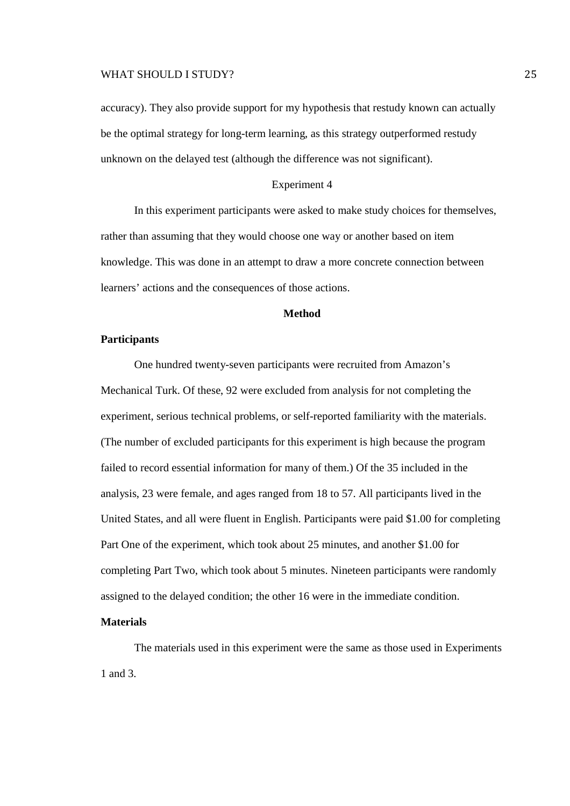accuracy). They also provide support for my hypothesis that restudy known can actually be the optimal strategy for long-term learning, as this strategy outperformed restudy unknown on the delayed test (although the difference was not significant).

# Experiment 4

In this experiment participants were asked to make study choices for themselves, rather than assuming that they would choose one way or another based on item knowledge. This was done in an attempt to draw a more concrete connection between learners' actions and the consequences of those actions.

# **Method**

# **Participants**

 One hundred twenty-seven participants were recruited from Amazon's Mechanical Turk. Of these, 92 were excluded from analysis for not completing the experiment, serious technical problems, or self-reported familiarity with the materials. (The number of excluded participants for this experiment is high because the program failed to record essential information for many of them.) Of the 35 included in the analysis, 23 were female, and ages ranged from 18 to 57. All participants lived in the United States, and all were fluent in English. Participants were paid \$1.00 for completing Part One of the experiment, which took about 25 minutes, and another \$1.00 for completing Part Two, which took about 5 minutes. Nineteen participants were randomly assigned to the delayed condition; the other 16 were in the immediate condition.

# **Materials**

 The materials used in this experiment were the same as those used in Experiments 1 and 3.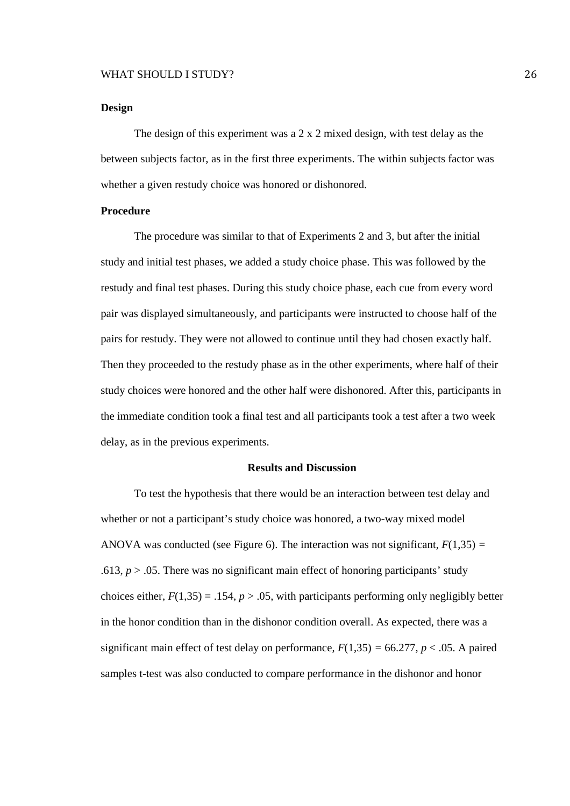#### **Design**

 The design of this experiment was a 2 x 2 mixed design, with test delay as the between subjects factor, as in the first three experiments. The within subjects factor was whether a given restudy choice was honored or dishonored.

#### **Procedure**

The procedure was similar to that of Experiments 2 and 3, but after the initial study and initial test phases, we added a study choice phase. This was followed by the restudy and final test phases. During this study choice phase, each cue from every word pair was displayed simultaneously, and participants were instructed to choose half of the pairs for restudy. They were not allowed to continue until they had chosen exactly half. Then they proceeded to the restudy phase as in the other experiments, where half of their study choices were honored and the other half were dishonored. After this, participants in the immediate condition took a final test and all participants took a test after a two week delay, as in the previous experiments.

# **Results and Discussion**

To test the hypothesis that there would be an interaction between test delay and whether or not a participant's study choice was honored, a two-way mixed model ANOVA was conducted (see Figure 6). The interaction was not significant, *F*(1,35) *=* .613,  $p > 0.05$ . There was no significant main effect of honoring participants' study choices either,  $F(1,35) = .154$ ,  $p > .05$ , with participants performing only negligibly better in the honor condition than in the dishonor condition overall. As expected, there was a significant main effect of test delay on performance,  $F(1,35) = 66.277$ ,  $p < .05$ . A paired samples t-test was also conducted to compare performance in the dishonor and honor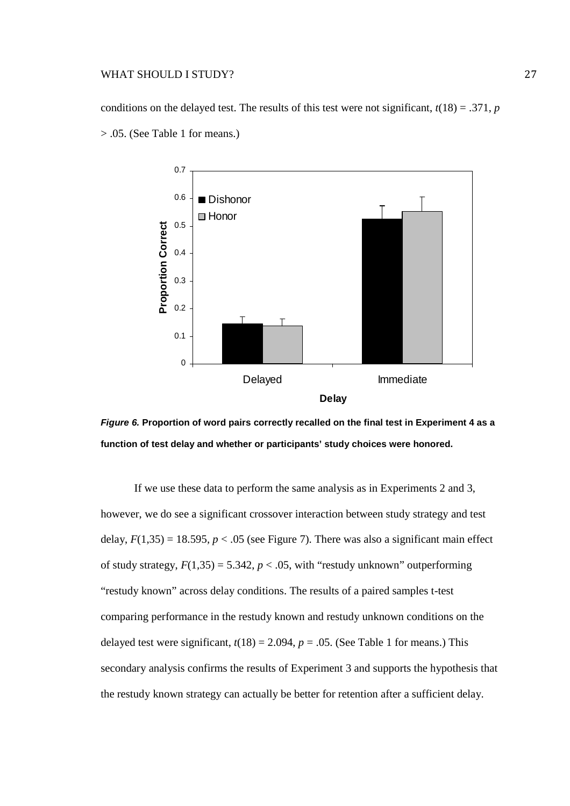conditions on the delayed test. The results of this test were not significant,  $t(18) = .371$ , *p* > .05. (See Table 1 for means.)





If we use these data to perform the same analysis as in Experiments 2 and 3, however, we do see a significant crossover interaction between study strategy and test delay,  $F(1,35) = 18.595$ ,  $p < .05$  (see Figure 7). There was also a significant main effect of study strategy,  $F(1,35) = 5.342$ ,  $p < .05$ , with "restudy unknown" outperforming "restudy known" across delay conditions. The results of a paired samples t-test comparing performance in the restudy known and restudy unknown conditions on the delayed test were significant,  $t(18) = 2.094$ ,  $p = .05$ . (See Table 1 for means.) This secondary analysis confirms the results of Experiment 3 and supports the hypothesis that the restudy known strategy can actually be better for retention after a sufficient delay.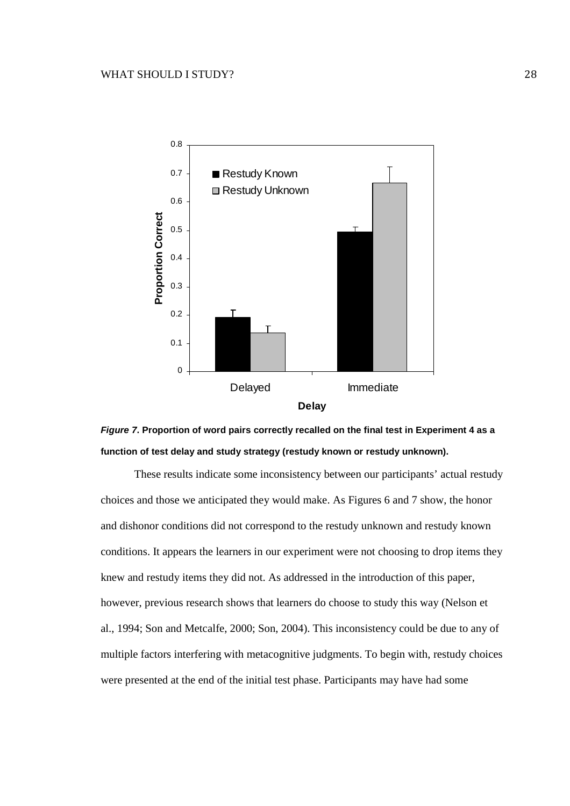



These results indicate some inconsistency between our participants' actual restudy choices and those we anticipated they would make. As Figures 6 and 7 show, the honor and dishonor conditions did not correspond to the restudy unknown and restudy known conditions. It appears the learners in our experiment were not choosing to drop items they knew and restudy items they did not. As addressed in the introduction of this paper, however, previous research shows that learners do choose to study this way (Nelson et al., 1994; Son and Metcalfe, 2000; Son, 2004). This inconsistency could be due to any of multiple factors interfering with metacognitive judgments. To begin with, restudy choices were presented at the end of the initial test phase. Participants may have had some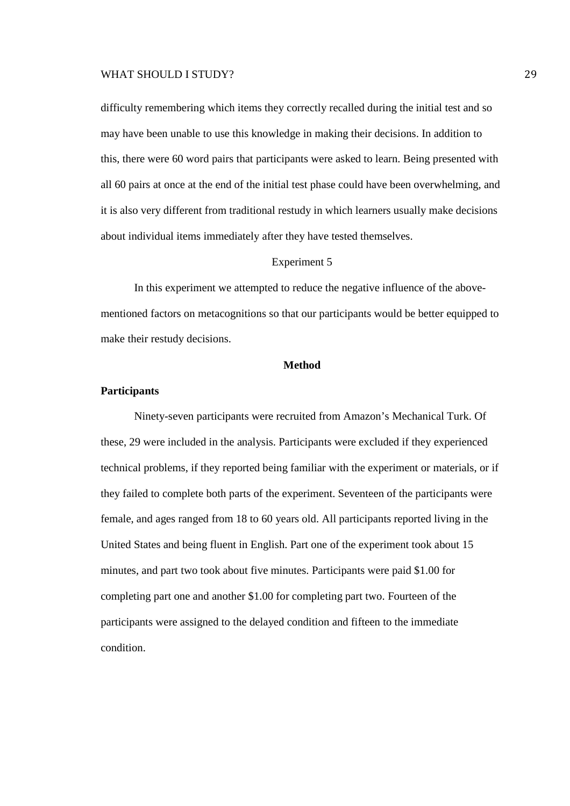difficulty remembering which items they correctly recalled during the initial test and so may have been unable to use this knowledge in making their decisions. In addition to this, there were 60 word pairs that participants were asked to learn. Being presented with all 60 pairs at once at the end of the initial test phase could have been overwhelming, and it is also very different from traditional restudy in which learners usually make decisions about individual items immediately after they have tested themselves.

#### Experiment 5

In this experiment we attempted to reduce the negative influence of the abovementioned factors on metacognitions so that our participants would be better equipped to make their restudy decisions.

#### **Method**

#### **Participants**

Ninety-seven participants were recruited from Amazon's Mechanical Turk. Of these, 29 were included in the analysis. Participants were excluded if they experienced technical problems, if they reported being familiar with the experiment or materials, or if they failed to complete both parts of the experiment. Seventeen of the participants were female, and ages ranged from 18 to 60 years old. All participants reported living in the United States and being fluent in English. Part one of the experiment took about 15 minutes, and part two took about five minutes. Participants were paid \$1.00 for completing part one and another \$1.00 for completing part two. Fourteen of the participants were assigned to the delayed condition and fifteen to the immediate condition.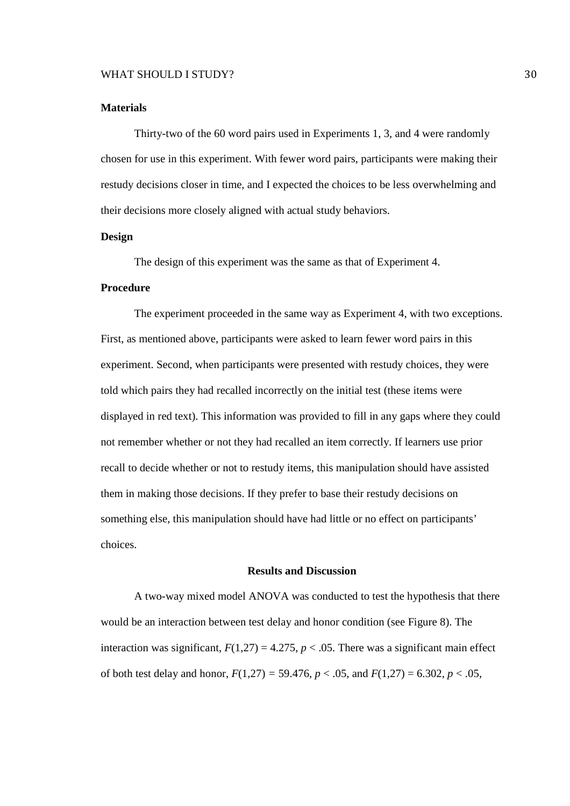#### **Materials**

 Thirty-two of the 60 word pairs used in Experiments 1, 3, and 4 were randomly chosen for use in this experiment. With fewer word pairs, participants were making their restudy decisions closer in time, and I expected the choices to be less overwhelming and their decisions more closely aligned with actual study behaviors.

# **Design**

The design of this experiment was the same as that of Experiment 4.

# **Procedure**

 The experiment proceeded in the same way as Experiment 4, with two exceptions. First, as mentioned above, participants were asked to learn fewer word pairs in this experiment. Second, when participants were presented with restudy choices, they were told which pairs they had recalled incorrectly on the initial test (these items were displayed in red text). This information was provided to fill in any gaps where they could not remember whether or not they had recalled an item correctly. If learners use prior recall to decide whether or not to restudy items, this manipulation should have assisted them in making those decisions. If they prefer to base their restudy decisions on something else, this manipulation should have had little or no effect on participants' choices.

#### **Results and Discussion**

 A two-way mixed model ANOVA was conducted to test the hypothesis that there would be an interaction between test delay and honor condition (see Figure 8). The interaction was significant,  $F(1,27) = 4.275$ ,  $p < .05$ . There was a significant main effect of both test delay and honor,  $F(1,27) = 59.476$ ,  $p < .05$ , and  $F(1,27) = 6.302$ ,  $p < .05$ ,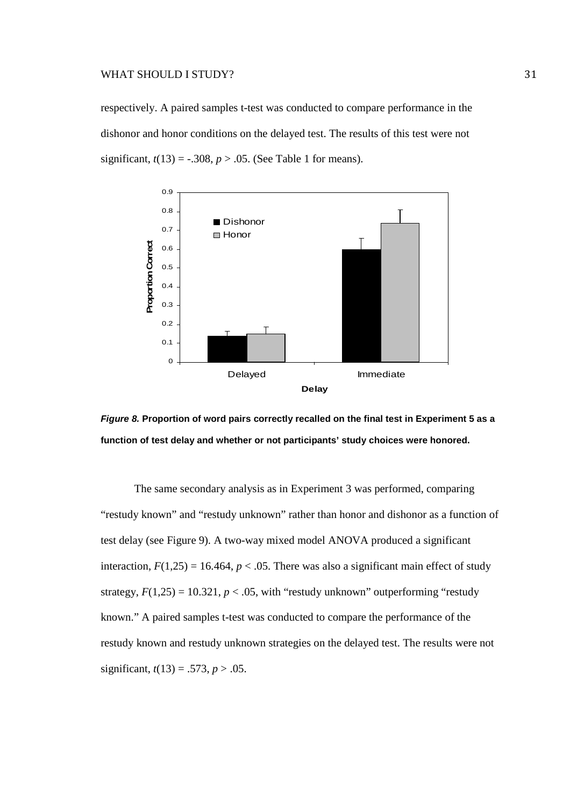respectively. A paired samples t-test was conducted to compare performance in the dishonor and honor conditions on the delayed test. The results of this test were not significant,  $t(13) = -.308$ ,  $p > .05$ . (See Table 1 for means).





 The same secondary analysis as in Experiment 3 was performed, comparing "restudy known" and "restudy unknown" rather than honor and dishonor as a function of test delay (see Figure 9). A two-way mixed model ANOVA produced a significant interaction,  $F(1,25) = 16.464$ ,  $p < .05$ . There was also a significant main effect of study strategy,  $F(1,25) = 10.321$ ,  $p < .05$ , with "restudy unknown" outperforming "restudy" known." A paired samples t-test was conducted to compare the performance of the restudy known and restudy unknown strategies on the delayed test. The results were not significant,  $t(13) = .573$ ,  $p > .05$ .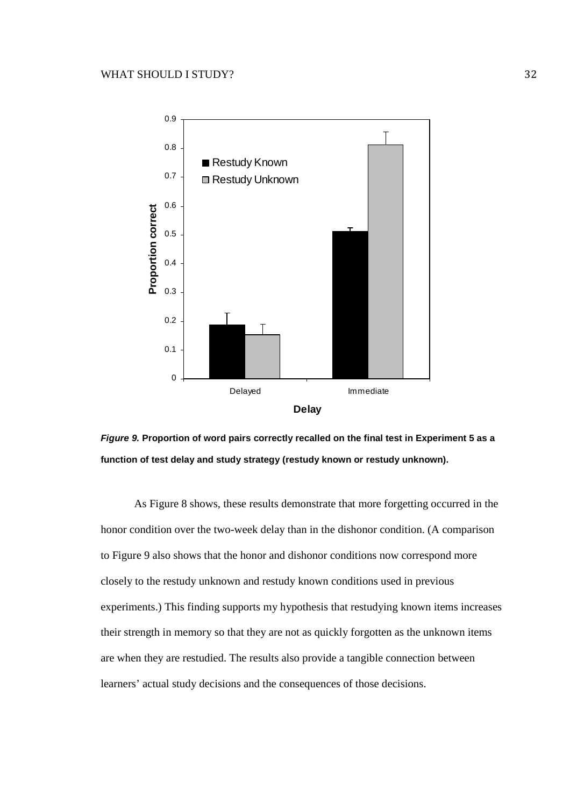



 As Figure 8 shows, these results demonstrate that more forgetting occurred in the honor condition over the two-week delay than in the dishonor condition. (A comparison to Figure 9 also shows that the honor and dishonor conditions now correspond more closely to the restudy unknown and restudy known conditions used in previous experiments.) This finding supports my hypothesis that restudying known items increases their strength in memory so that they are not as quickly forgotten as the unknown items are when they are restudied. The results also provide a tangible connection between learners' actual study decisions and the consequences of those decisions.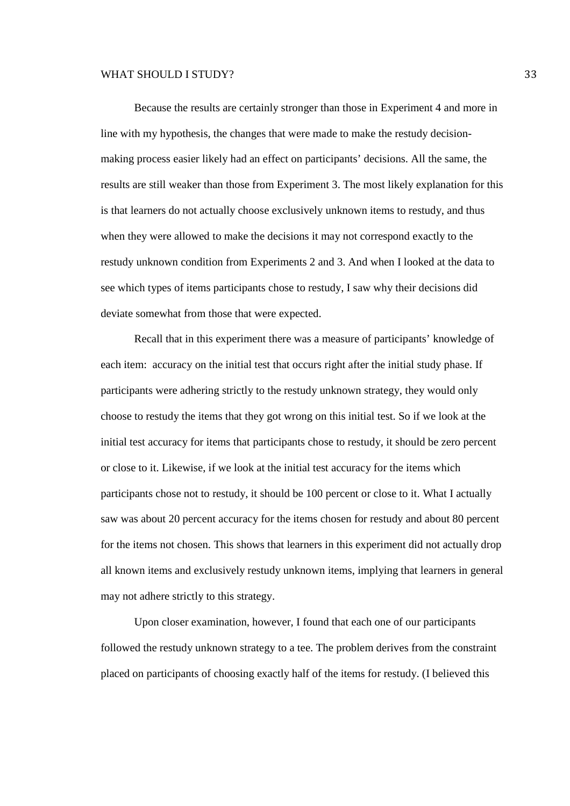Because the results are certainly stronger than those in Experiment 4 and more in line with my hypothesis, the changes that were made to make the restudy decisionmaking process easier likely had an effect on participants' decisions. All the same, the results are still weaker than those from Experiment 3. The most likely explanation for this is that learners do not actually choose exclusively unknown items to restudy, and thus when they were allowed to make the decisions it may not correspond exactly to the restudy unknown condition from Experiments 2 and 3. And when I looked at the data to see which types of items participants chose to restudy, I saw why their decisions did deviate somewhat from those that were expected.

 Recall that in this experiment there was a measure of participants' knowledge of each item: accuracy on the initial test that occurs right after the initial study phase. If participants were adhering strictly to the restudy unknown strategy, they would only choose to restudy the items that they got wrong on this initial test. So if we look at the initial test accuracy for items that participants chose to restudy, it should be zero percent or close to it. Likewise, if we look at the initial test accuracy for the items which participants chose not to restudy, it should be 100 percent or close to it. What I actually saw was about 20 percent accuracy for the items chosen for restudy and about 80 percent for the items not chosen. This shows that learners in this experiment did not actually drop all known items and exclusively restudy unknown items, implying that learners in general may not adhere strictly to this strategy.

 Upon closer examination, however, I found that each one of our participants followed the restudy unknown strategy to a tee. The problem derives from the constraint placed on participants of choosing exactly half of the items for restudy. (I believed this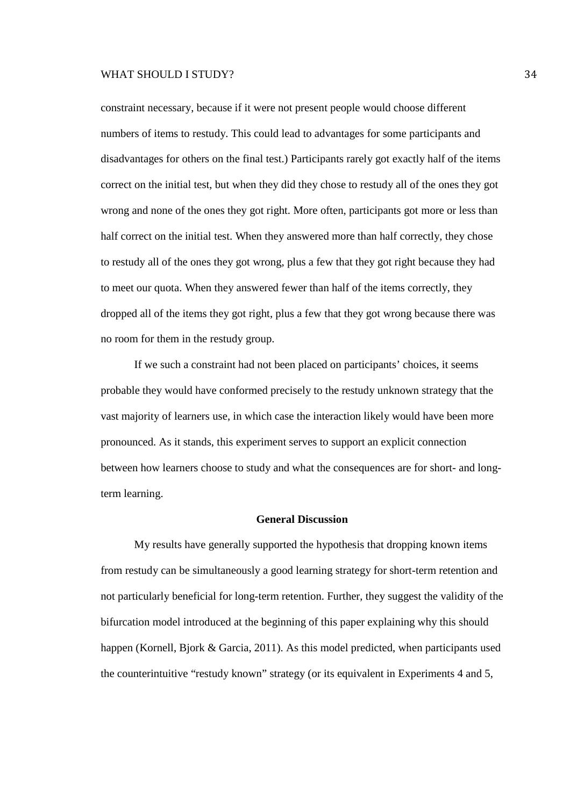constraint necessary, because if it were not present people would choose different numbers of items to restudy. This could lead to advantages for some participants and disadvantages for others on the final test.) Participants rarely got exactly half of the items correct on the initial test, but when they did they chose to restudy all of the ones they got wrong and none of the ones they got right. More often, participants got more or less than half correct on the initial test. When they answered more than half correctly, they chose to restudy all of the ones they got wrong, plus a few that they got right because they had to meet our quota. When they answered fewer than half of the items correctly, they dropped all of the items they got right, plus a few that they got wrong because there was no room for them in the restudy group.

 If we such a constraint had not been placed on participants' choices, it seems probable they would have conformed precisely to the restudy unknown strategy that the vast majority of learners use, in which case the interaction likely would have been more pronounced. As it stands, this experiment serves to support an explicit connection between how learners choose to study and what the consequences are for short- and longterm learning.

# **General Discussion**

My results have generally supported the hypothesis that dropping known items from restudy can be simultaneously a good learning strategy for short-term retention and not particularly beneficial for long-term retention. Further, they suggest the validity of the bifurcation model introduced at the beginning of this paper explaining why this should happen (Kornell, Bjork & Garcia, 2011). As this model predicted, when participants used the counterintuitive "restudy known" strategy (or its equivalent in Experiments 4 and 5,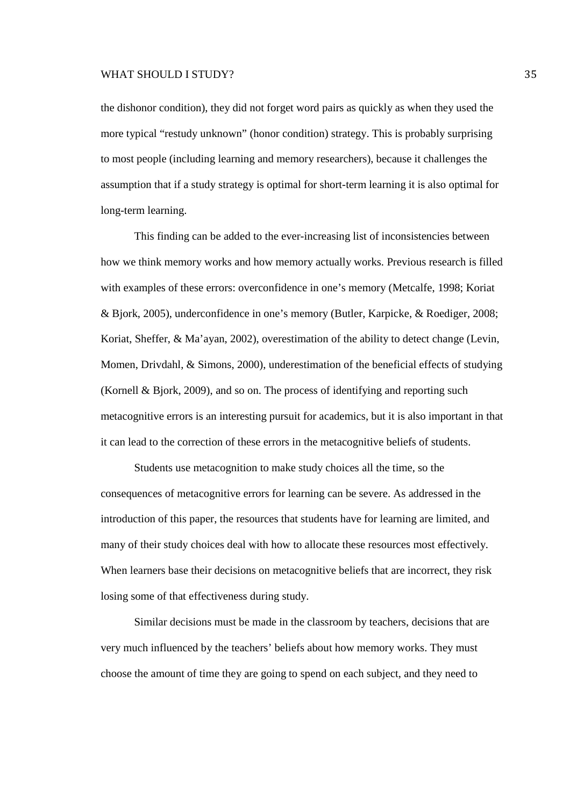the dishonor condition), they did not forget word pairs as quickly as when they used the more typical "restudy unknown" (honor condition) strategy. This is probably surprising to most people (including learning and memory researchers), because it challenges the assumption that if a study strategy is optimal for short-term learning it is also optimal for long-term learning.

This finding can be added to the ever-increasing list of inconsistencies between how we think memory works and how memory actually works. Previous research is filled with examples of these errors: overconfidence in one's memory (Metcalfe, 1998; Koriat & Bjork, 2005), underconfidence in one's memory (Butler, Karpicke, & Roediger, 2008; Koriat, Sheffer, & Ma'ayan, 2002), overestimation of the ability to detect change (Levin, Momen, Drivdahl, & Simons, 2000), underestimation of the beneficial effects of studying (Kornell & Bjork, 2009), and so on. The process of identifying and reporting such metacognitive errors is an interesting pursuit for academics, but it is also important in that it can lead to the correction of these errors in the metacognitive beliefs of students.

Students use metacognition to make study choices all the time, so the consequences of metacognitive errors for learning can be severe. As addressed in the introduction of this paper, the resources that students have for learning are limited, and many of their study choices deal with how to allocate these resources most effectively. When learners base their decisions on metacognitive beliefs that are incorrect, they risk losing some of that effectiveness during study.

Similar decisions must be made in the classroom by teachers, decisions that are very much influenced by the teachers' beliefs about how memory works. They must choose the amount of time they are going to spend on each subject, and they need to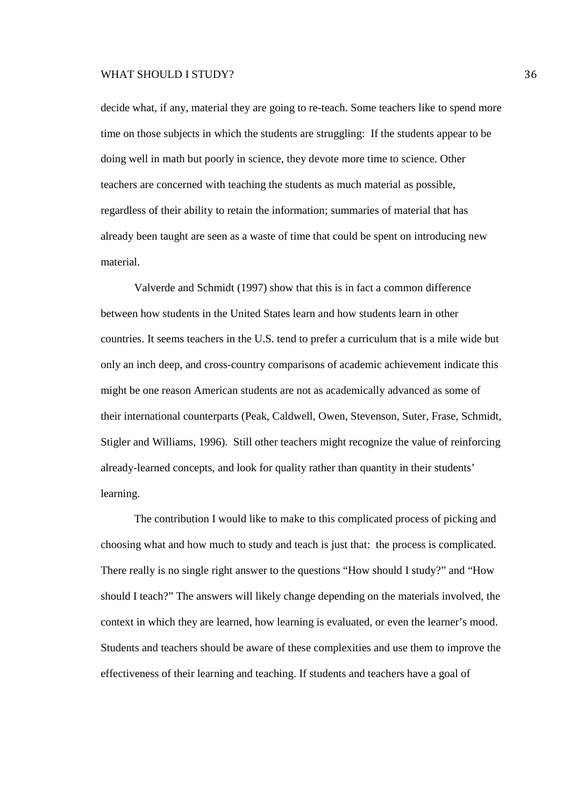decide what, if any, material they are going to re-teach. Some teachers like to spend more time on those subjects in which the students are struggling: If the students appear to be doing well in math but poorly in science, they devote more time to science. Other teachers are concerned with teaching the students as much material as possible, regardless of their ability to retain the information; summaries of material that has already been taught are seen as a waste of time that could be spent on introducing new material.

Valverde and Schmidt (1997) show that this is in fact a common difference between how students in the United States learn and how students learn in other countries. It seems teachers in the U.S. tend to prefer a curriculum that is a mile wide but only an inch deep, and cross-country comparisons of academic achievement indicate this might be one reason American students are not as academically advanced as some of their international counterparts (Peak, Caldwell, Owen, Stevenson, Suter, Frase, Schmidt, Stigler and Williams, 1996). Still other teachers might recognize the value of reinforcing already-learned concepts, and look for quality rather than quantity in their students' learning.

The contribution I would like to make to this complicated process of picking and choosing what and how much to study and teach is just that: the process is complicated. There really is no single right answer to the questions "How should I study?" and "How should I teach?" The answers will likely change depending on the materials involved, the context in which they are learned, how learning is evaluated, or even the learner's mood. Students and teachers should be aware of these complexities and use them to improve the effectiveness of their learning and teaching. If students and teachers have a goal of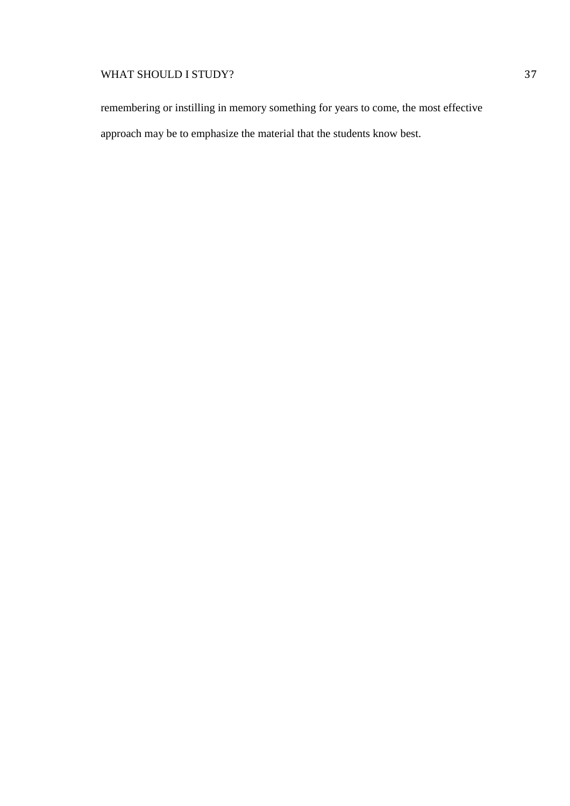remembering or instilling in memory something for years to come, the most effective approach may be to emphasize the material that the students know best.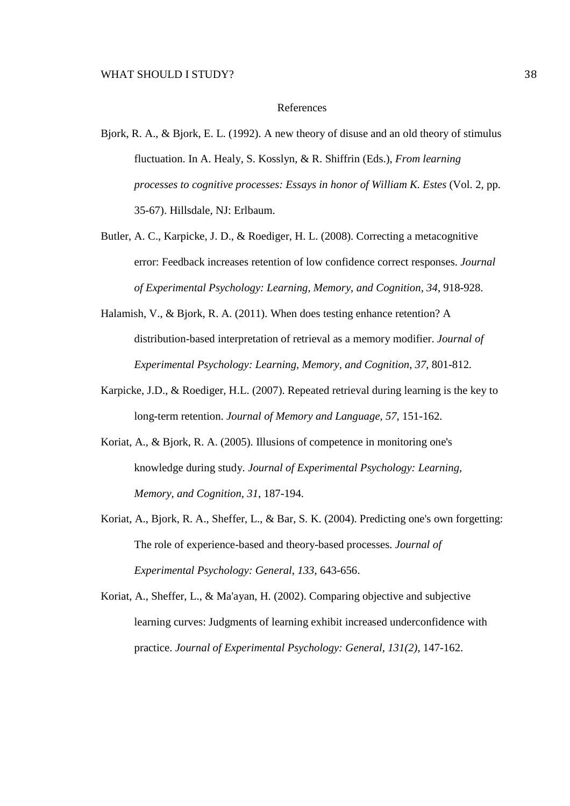#### References

- Bjork, R. A., & Bjork, E. L. (1992). A new theory of disuse and an old theory of stimulus fluctuation. In A. Healy, S. Kosslyn, & R. Shiffrin (Eds.), *From learning processes to cognitive processes: Essays in honor of William K. Estes* (Vol. 2, pp. 35-67). Hillsdale, NJ: Erlbaum.
- Butler, A. C., Karpicke, J. D., & Roediger, H. L. (2008). Correcting a metacognitive error: Feedback increases retention of low confidence correct responses. *Journal of Experimental Psychology: Learning, Memory, and Cognition, 34*, 918-928.
- Halamish, V., & Bjork, R. A. (2011). When does testing enhance retention? A distribution-based interpretation of retrieval as a memory modifier. *Journal of Experimental Psychology: Learning, Memory, and Cognition*, *37*, 801-812.
- Karpicke, J.D., & Roediger, H.L. (2007). Repeated retrieval during learning is the key to long-term retention. *Journal of Memory and Language*, *57*, 151-162.
- Koriat, A., & Bjork, R. A. (2005). Illusions of competence in monitoring one's knowledge during study. *Journal of Experimental Psychology: Learning, Memory, and Cognition*, *31*, 187-194.
- Koriat, A., Bjork, R. A., Sheffer, L., & Bar, S. K. (2004). Predicting one's own forgetting: The role of experience-based and theory-based processes. *Journal of Experimental Psychology: General*, *133*, 643-656.
- Koriat, A., Sheffer, L., & Ma'ayan, H. (2002). Comparing objective and subjective learning curves: Judgments of learning exhibit increased underconfidence with practice. *Journal of Experimental Psychology: General, 131(2)*, 147-162.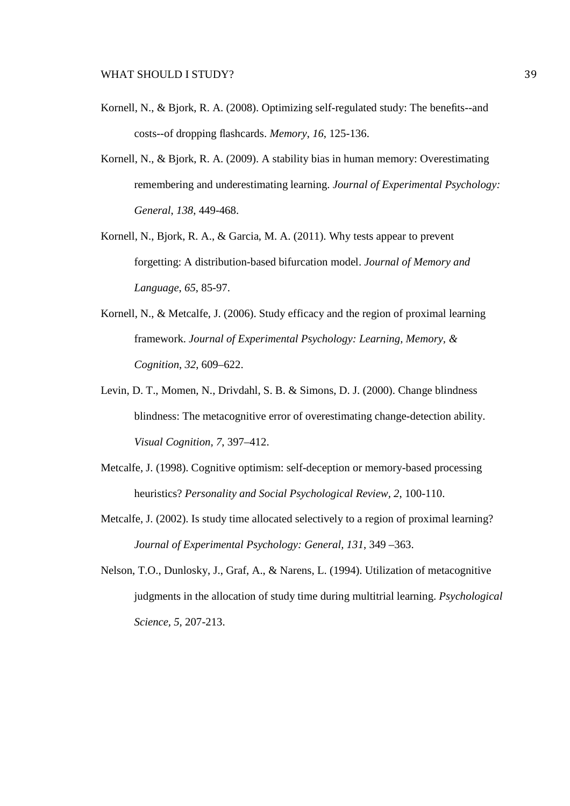- Kornell, N., & Bjork, R. A. (2008). Optimizing self-regulated study: The benefits--and costs--of dropping flashcards. *Memory*, *16*, 125-136.
- Kornell, N., & Bjork, R. A. (2009). A stability bias in human memory: Overestimating remembering and underestimating learning. *Journal of Experimental Psychology: General*, *138*, 449-468.
- Kornell, N., Bjork, R. A., & Garcia, M. A. (2011). Why tests appear to prevent forgetting: A distribution-based bifurcation model. *Journal of Memory and Language*, *65*, 85-97.
- Kornell, N., & Metcalfe, J. (2006). Study efficacy and the region of proximal learning framework. *Journal of Experimental Psychology: Learning, Memory, & Cognition*, *32*, 609–622.
- Levin, D. T., Momen, N., Drivdahl, S. B. & Simons, D. J. (2000). Change blindness blindness: The metacognitive error of overestimating change-detection ability. *Visual Cognition, 7*, 397–412.
- Metcalfe, J. (1998). Cognitive optimism: self-deception or memory-based processing heuristics? *Personality and Social Psychological Review, 2*, 100-110.
- Metcalfe, J. (2002). Is study time allocated selectively to a region of proximal learning? *Journal of Experimental Psychology: General, 131*, 349 –363.
- Nelson, T.O., Dunlosky, J., Graf, A., & Narens, L. (1994). Utilization of metacognitive judgments in the allocation of study time during multitrial learning. *Psychological Science, 5,* 207-213.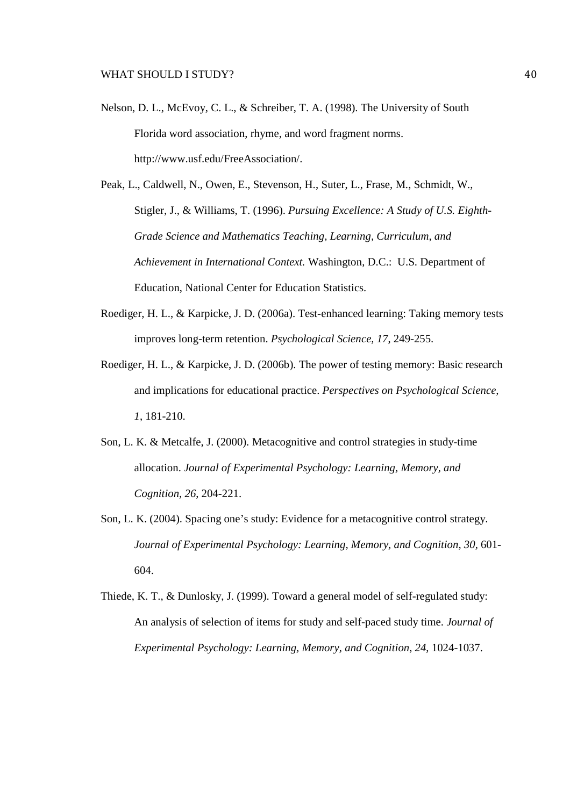- Nelson, D. L., McEvoy, C. L., & Schreiber, T. A. (1998). The University of South Florida word association, rhyme, and word fragment norms. http://www.usf.edu/FreeAssociation/.
- Peak, L., Caldwell, N., Owen, E., Stevenson, H., Suter, L., Frase, M., Schmidt, W., Stigler, J., & Williams, T. (1996). *Pursuing Excellence: A Study of U.S. Eighth-Grade Science and Mathematics Teaching, Learning, Curriculum, and Achievement in International Context.* Washington, D.C.: U.S. Department of Education, National Center for Education Statistics.
- Roediger, H. L., & Karpicke, J. D. (2006a). Test-enhanced learning: Taking memory tests improves long-term retention. *Psychological Science, 17*, 249-255.
- Roediger, H. L., & Karpicke, J. D. (2006b). The power of testing memory: Basic research and implications for educational practice. *Perspectives on Psychological Science, 1*, 181-210.
- Son, L. K. & Metcalfe, J. (2000). Metacognitive and control strategies in study-time allocation. *Journal of Experimental Psychology: Learning, Memory, and Cognition, 26*, 204-221.
- Son, L. K. (2004). Spacing one's study: Evidence for a metacognitive control strategy. *Journal of Experimental Psychology: Learning, Memory, and Cognition, 30,* 601- 604.
- Thiede, K. T., & Dunlosky, J. (1999). Toward a general model of self-regulated study: An analysis of selection of items for study and self-paced study time. *Journal of Experimental Psychology: Learning, Memory, and Cognition, 24*, 1024-1037.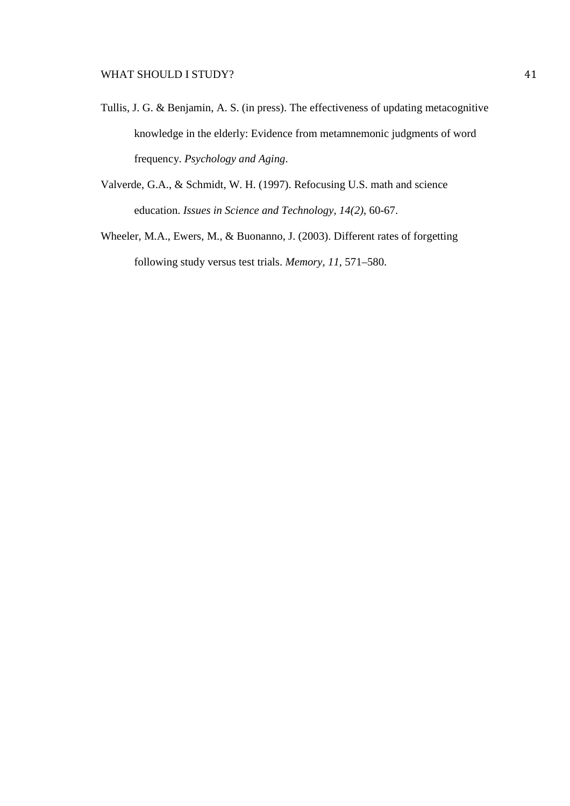- Tullis, J. G. & Benjamin, A. S. (in press). The effectiveness of updating metacognitive knowledge in the elderly: Evidence from metamnemonic judgments of word frequency. *Psychology and Aging*.
- Valverde, G.A., & Schmidt, W. H. (1997). Refocusing U.S. math and science education. *Issues in Science and Technology, 14(2)*, 60-67.
- Wheeler, M.A., Ewers, M., & Buonanno, J. (2003). Different rates of forgetting following study versus test trials. *Memory, 11,* 571–580.